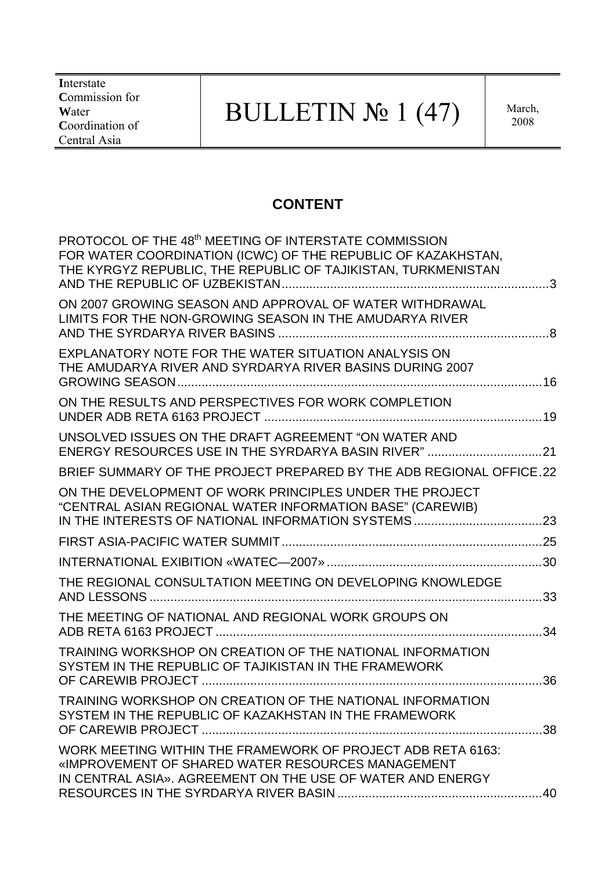**I**nterstate **C**ommission for **W**ater **C**oordination of Central Asia

# BULLETIN  $\mathbb{N}$ <sup>0</sup> 1 (47) March,

## **CONTENT**

| PROTOCOL OF THE 48 <sup>th</sup> MEETING OF INTERSTATE COMMISSION<br>FOR WATER COORDINATION (ICWC) OF THE REPUBLIC OF KAZAKHSTAN,<br>THE KYRGYZ REPUBLIC, THE REPUBLIC OF TAJIKISTAN, TURKMENISTAN |  |
|----------------------------------------------------------------------------------------------------------------------------------------------------------------------------------------------------|--|
| ON 2007 GROWING SEASON AND APPROVAL OF WATER WITHDRAWAL<br>LIMITS FOR THE NON-GROWING SEASON IN THE AMUDARYA RIVER                                                                                 |  |
| EXPLANATORY NOTE FOR THE WATER SITUATION ANALYSIS ON<br>THE AMUDARYA RIVER AND SYRDARYA RIVER BASINS DURING 2007                                                                                   |  |
| ON THE RESULTS AND PERSPECTIVES FOR WORK COMPLETION                                                                                                                                                |  |
| UNSOLVED ISSUES ON THE DRAFT AGREEMENT "ON WATER AND<br>ENERGY RESOURCES USE IN THE SYRDARYA BASIN RIVER" 21                                                                                       |  |
| BRIEF SUMMARY OF THE PROJECT PREPARED BY THE ADB REGIONAL OFFICE.22                                                                                                                                |  |
| ON THE DEVELOPMENT OF WORK PRINCIPLES UNDER THE PROJECT<br>"CENTRAL ASIAN REGIONAL WATER INFORMATION BASE" (CAREWIB)                                                                               |  |
|                                                                                                                                                                                                    |  |
|                                                                                                                                                                                                    |  |
| THE REGIONAL CONSULTATION MEETING ON DEVELOPING KNOWLEDGE                                                                                                                                          |  |
| THE MEETING OF NATIONAL AND REGIONAL WORK GROUPS ON                                                                                                                                                |  |
| TRAINING WORKSHOP ON CREATION OF THE NATIONAL INFORMATION<br>SYSTEM IN THE REPUBLIC OF TAJIKISTAN IN THE FRAMEWORK                                                                                 |  |
| TRAINING WORKSHOP ON CREATION OF THE NATIONAL INFORMATION<br>SYSTEM IN THE REPUBLIC OF KAZAKHSTAN IN THE FRAMEWORK                                                                                 |  |
| WORK MEETING WITHIN THE FRAMEWORK OF PROJECT ADB RETA 6163:<br>«IMPROVEMENT OF SHARED WATER RESOURCES MANAGEMENT<br>IN CENTRAL ASIA». AGREEMENT ON THE USE OF WATER AND ENERGY                     |  |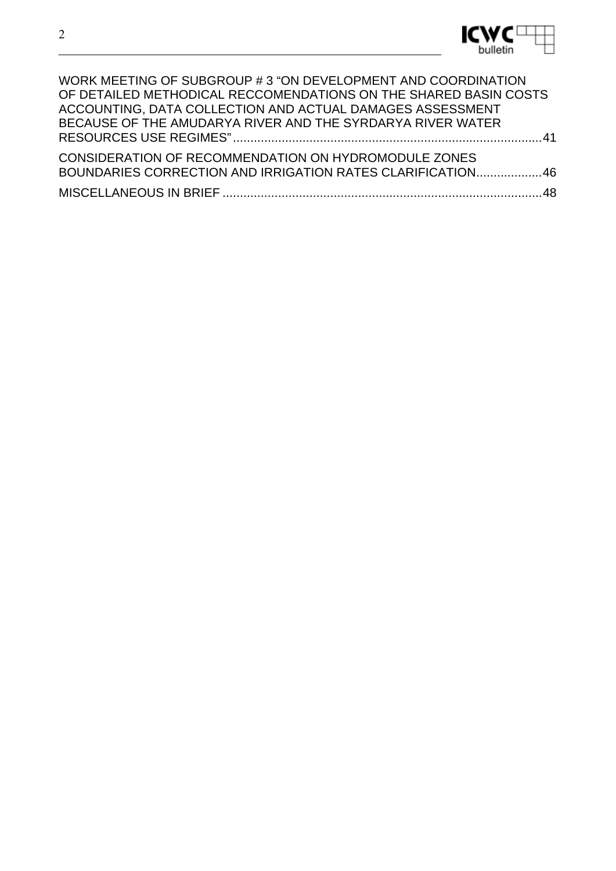| WORK MEETING OF SUBGROUP #3 "ON DEVELOPMENT AND COORDINATION<br>OF DETAILED METHODICAL RECCOMENDATIONS ON THE SHARED BASIN COSTS<br>ACCOUNTING, DATA COLLECTION AND ACTUAL DAMAGES ASSESSMENT |  |
|-----------------------------------------------------------------------------------------------------------------------------------------------------------------------------------------------|--|
| BECAUSE OF THE AMUDARYA RIVER AND THE SYRDARYA RIVER WATER                                                                                                                                    |  |
| CONSIDERATION OF RECOMMENDATION ON HYDROMODULE ZONES<br>BOUNDARIES CORRECTION AND IRRIGATION RATES CLARIFICATION46                                                                            |  |
|                                                                                                                                                                                               |  |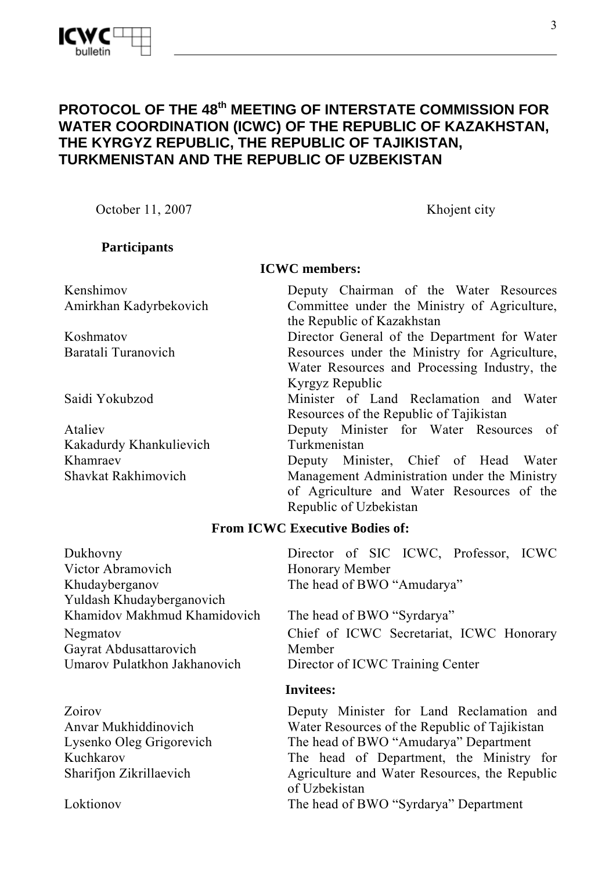## **PROTOCOL OF THE 48th MEETING OF INTERSTATE COMMISSION FOR WATER COORDINATION (ICWC) OF THE REPUBLIC OF KAZAKHSTAN, THE KYRGYZ REPUBLIC, THE REPUBLIC OF TAJIKISTAN, TURKMENISTAN AND THE REPUBLIC OF UZBEKISTAN**

October 11, 2007 Khojent city

## **Participants**

Kenshimov Amirkhan Kadyrbekovich

Koshmatov Baratali Turanovich

Ataliev Kakadurdy Khankulievich Khamraev Shavkat Rakhimovich

#### **ICWC members:**

Deputy Chairman of the Water Resources Committee under the Ministry of Agriculture, the Republic of Kazakhstan Director General of the Department for Water Resources under the Ministry for Agriculture, Water Resources and Processing Industry, the Kyrgyz Republic Saidi Yokubzod Minister of Land Reclamation and Water Resources of the Republic of Tajikistan Deputy Minister for Water Resources of Turkmenistan Deputy Minister, Chief of Head Water Management Administration under the Ministry of Agriculture and Water Resources of the Republic of Uzbekistan

#### **From ICWC Executive Bodies of:**

Dukhovny Victor Abramovich Khudayberganov Yuldash Khudayberganovich Khamidov Makhmud Khamidovich The head of BWO "Syrdarya" Negmatov Gayrat Abdusattarovich Umarov Pulatkhon Jakhanovich Director of ICWC Training Center

Zoirov Anvar Mukhiddinovich Kuchkarov Sharifjon Zikrillaevich

Director of SIC ICWC, Professor, ICWC Honorary Member The head of BWO "Amudarya"

Chief of ICWC Secretariat, ICWC Honorary Member

#### **Invitees:**

Deputy Minister for Land Reclamation and Water Resources of the Republic of Tajikistan Lysenko Oleg Grigorevich The head of BWO "Amudarya" Department The head of Department, the Ministry for Agriculture and Water Resources, the Republic of Uzbekistan Loktionov The head of BWO "Syrdarya" Department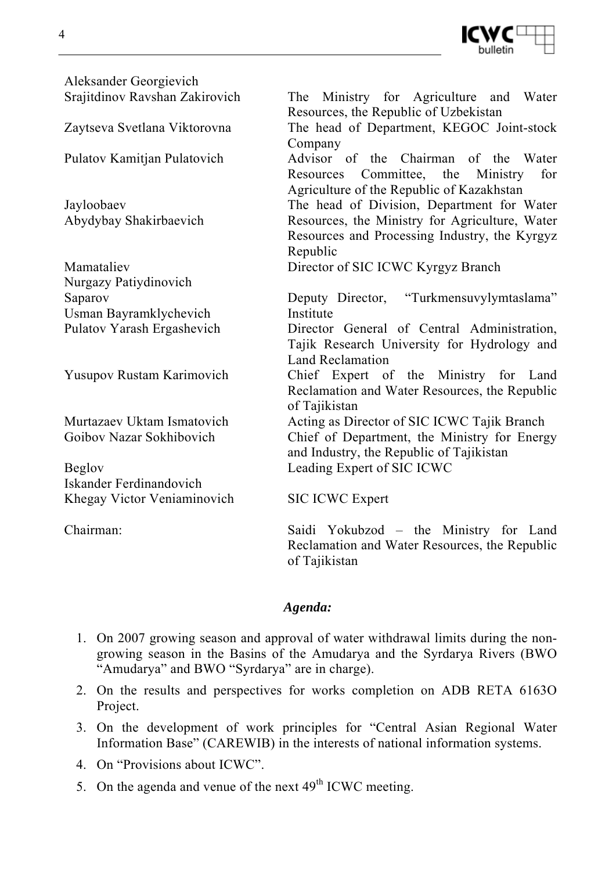

Aleksander Georgievich Srajitdinov Ravshan Zakirovich The Ministry for Agriculture and Water

Jayloobaev Abydybay Shakirbaevich

Mamataliev Nurgazy Patiydinovich Saparov Usman Bayramklychevich

Beglov Iskander Ferdinandovich Khegay Victor Veniaminovich SIC ICWC Expert

Resources, the Republic of Uzbekistan Zaytseva Svetlana Viktorovna The head of Department, KEGOC Joint-stock Company Pulatov Kamitjan Pulatovich Advisor of the Chairman of the Water Resources Committee, the Ministry for Agriculture of the Republic of Kazakhstan The head of Division, Department for Water Resources, the Ministry for Agriculture, Water Resources and Processing Industry, the Kyrgyz Republic Director of SIC ICWC Kyrgyz Branch Deputy Director, "Turkmensuvylymtaslama" Institute Pulatov Yarash Ergashevich Director General of Central Administration, Tajik Research University for Hydrology and Land Reclamation Yusupov Rustam Karimovich Chief Expert of the Ministry for Land Reclamation and Water Resources, the Republic of Tajikistan Murtazaev Uktam Ismatovich Acting as Director of SIC ICWC Tajik Branch Goibov Nazar Sokhibovich Chief of Department, the Ministry for Energy and Industry, the Republic of Tajikistan Leading Expert of SIC ICWC

Chairman: Saidi Yokubzod – the Ministry for Land Reclamation and Water Resources, the Republic of Tajikistan

#### *Agenda:*

- 1. On 2007 growing season and approval of water withdrawal limits during the nongrowing season in the Basins of the Amudarya and the Syrdarya Rivers (BWO "Amudarya" and BWO "Syrdarya" are in charge).
- 2. On the results and perspectives for works completion on ADB RETA 6163О Project.
- 3. On the development of work principles for "Central Asian Regional Water Information Base" (CAREWIB) in the interests of national information systems.
- 4. On "Provisions about ICWC".
- 5. On the agenda and venue of the next  $49<sup>th</sup>$  ICWC meeting.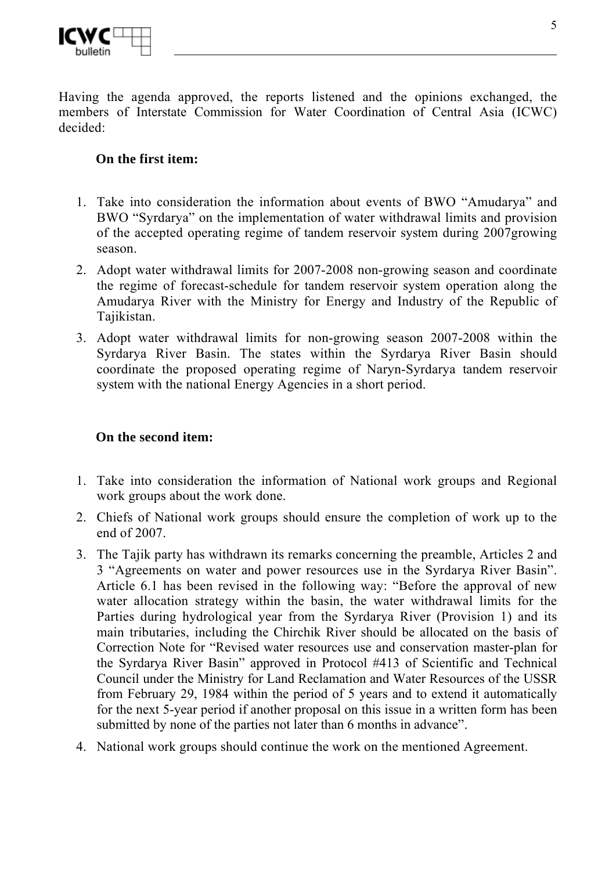

Having the agenda approved, the reports listened and the opinions exchanged, the members of Interstate Commission for Water Coordination of Central Asia (ICWC) decided:

## **On the first item:**

- 1. Take into consideration the information about events of BWO "Amudarya" and BWO "Syrdarya" on the implementation of water withdrawal limits and provision of the accepted operating regime of tandem reservoir system during 2007growing season.
- 2. Adopt water withdrawal limits for 2007-2008 non-growing season and coordinate the regime of forecast-schedule for tandem reservoir system operation along the Amudarya River with the Ministry for Energy and Industry of the Republic of Tajikistan.
- 3. Adopt water withdrawal limits for non-growing season 2007-2008 within the Syrdarya River Basin. The states within the Syrdarya River Basin should coordinate the proposed operating regime of Naryn-Syrdarya tandem reservoir system with the national Energy Agencies in a short period.

#### **On the second item:**

- 1. Take into consideration the information of National work groups and Regional work groups about the work done.
- 2. Chiefs of National work groups should ensure the completion of work up to the end of 2007.
- 3. The Tajik party has withdrawn its remarks concerning the preamble, Articles 2 and 3 "Agreements on water and power resources use in the Syrdarya River Basin". Article 6.1 has been revised in the following way: "Before the approval of new water allocation strategy within the basin, the water withdrawal limits for the Parties during hydrological year from the Syrdarya River (Provision 1) and its main tributaries, including the Chirchik River should be allocated on the basis of Correction Note for "Revised water resources use and conservation master-plan for the Syrdarya River Basin" approved in Protocol #413 of Scientific and Technical Council under the Ministry for Land Reclamation and Water Resources of the USSR from February 29, 1984 within the period of 5 years and to extend it automatically for the next 5-year period if another proposal on this issue in a written form has been submitted by none of the parties not later than 6 months in advance".
- 4. National work groups should continue the work on the mentioned Agreement.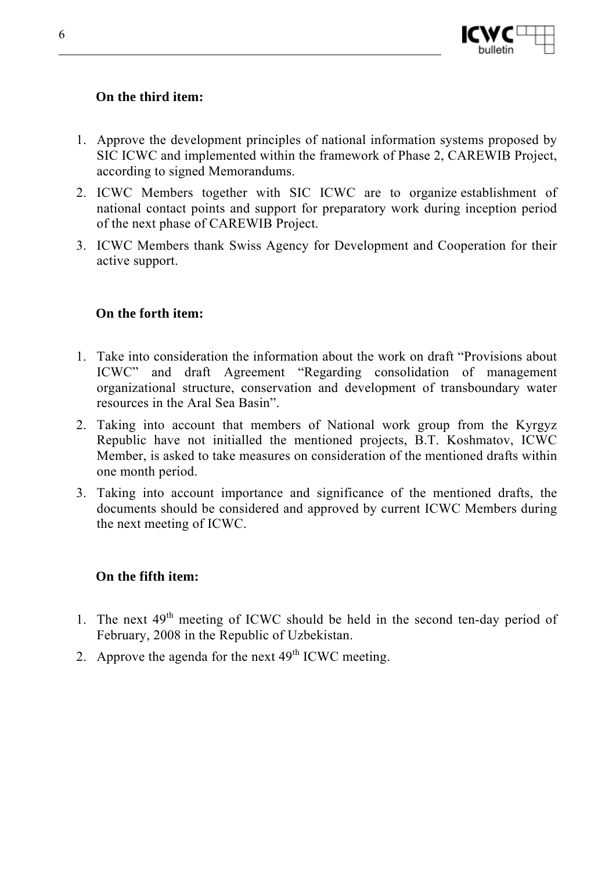

#### **On the third item:**

- 1. Approve the development principles of national information systems proposed by SIC ICWC and implemented within the framework of Phase 2, CAREWIB Project, according to signed Memorandums.
- 2. ICWC Members together with SIC ICWC are to organize establishment of national contact points and support for preparatory work during inception period of the next phase of CAREWIB Project.
- 3. ICWC Members thank Swiss Agency for Development and Cooperation for their active support.

#### **On the forth item:**

- 1. Take into consideration the information about the work on draft "Provisions about ICWC" and draft Agreement "Regarding consolidation of management organizational structure, conservation and development of transboundary water resources in the Aral Sea Basin".
- 2. Taking into account that members of National work group from the Kyrgyz Republic have not initialled the mentioned projects, B.T. Koshmatov, ICWC Member, is asked to take measures on consideration of the mentioned drafts within one month period.
- 3. Taking into account importance and significance of the mentioned drafts, the documents should be considered and approved by current ICWC Members during the next meeting of ICWC.

#### **On the fifth item:**

- 1. The next  $49<sup>th</sup>$  meeting of ICWC should be held in the second ten-day period of February, 2008 in the Republic of Uzbekistan.
- 2. Approve the agenda for the next  $49<sup>th</sup>$  ICWC meeting.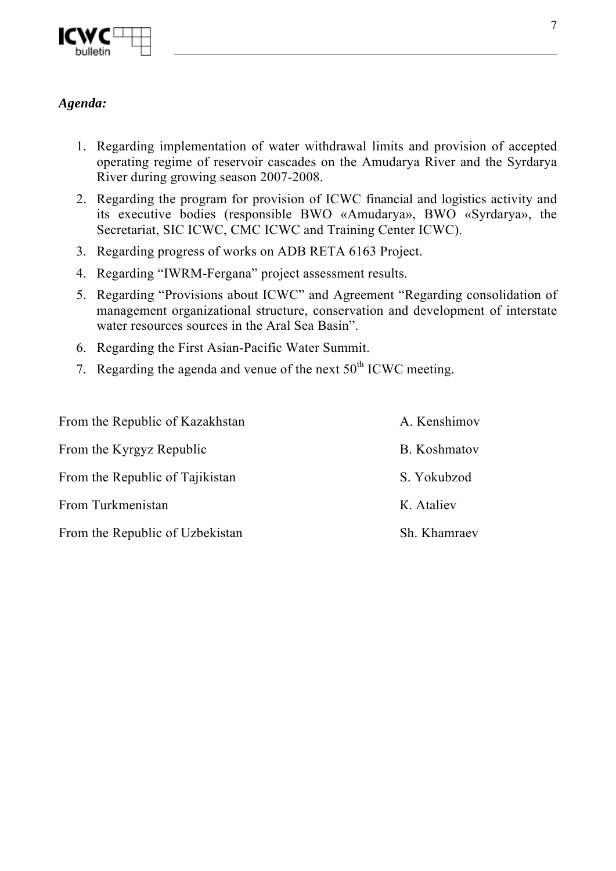

## *Agenda:*

- 1. Regarding implementation of water withdrawal limits and provision of accepted operating regime of reservoir cascades on the Amudarya River and the Syrdarya River during growing season 2007-2008.
- 2. Regarding the program for provision of ICWC financial and logistics activity and its executive bodies (responsible BWO «Amudarya», BWO «Syrdarya», the Secretariat, SIC ICWC, CMC ICWC and Training Center ICWC).
- 3. Regarding progress of works on ADB RETA 6163 Project.
- 4. Regarding "IWRM-Fergana" project assessment results.
- 5. Regarding "Provisions about ICWC" and Agreement "Regarding consolidation of management organizational structure, conservation and development of interstate water resources sources in the Aral Sea Basin".
- 6. Regarding the First Asian-Pacific Water Summit.
- 7. Regarding the agenda and venue of the next  $50<sup>th</sup>$  ICWC meeting.

| From the Republic of Kazakhstan | A. Kenshimov |
|---------------------------------|--------------|
| From the Kyrgyz Republic        | B. Koshmatov |
| From the Republic of Tajikistan | S. Yokubzod  |
| From Turkmenistan               | K. Ataliev   |
| From the Republic of Uzbekistan | Sh. Khamraev |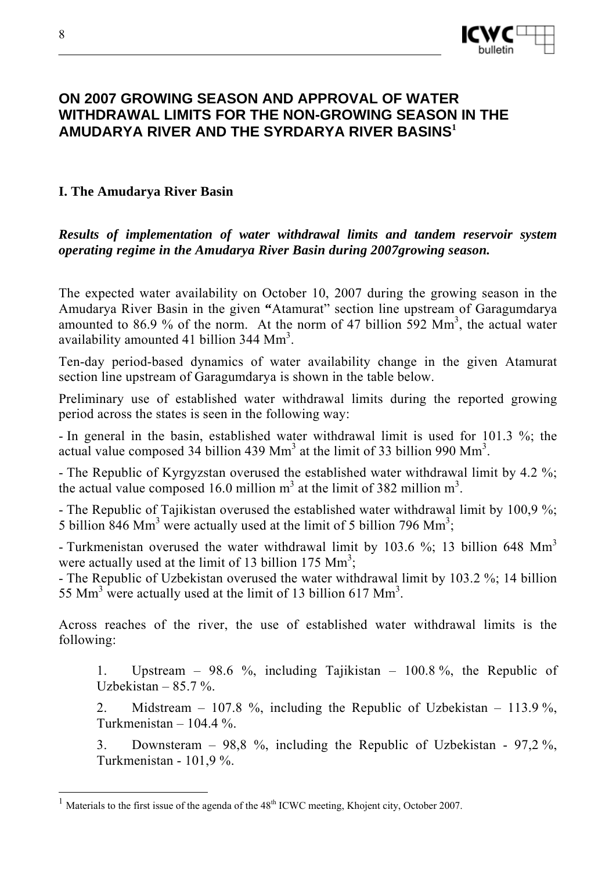

## **ON 2007 GROWING SEASON AND APPROVAL OF WATER WITHDRAWAL LIMITS FOR THE NON-GROWING SEASON IN THE AMUDARYA RIVER AND THE SYRDARYA RIVER BASINS<sup>1</sup>**

#### **I. The Amudarya River Basin**

*Results of implementation of water withdrawal limits and tandem reservoir system operating regime in the Amudarya River Basin during 2007growing season.* 

The expected water availability on October 10, 2007 during the growing season in the Amudarya River Basin in the given **"**Atamurat" section line upstream of Garagumdarya amounted to 86.9 % of the norm. At the norm of 47 billion  $\overline{592}$  Mm<sup>3</sup>, the actual water availability amounted 41 billion 344  $\text{Mm}^3$ .

Ten-day period-based dynamics of water availability change in the given Atamurat section line upstream of Garagumdarya is shown in the table below.

Preliminary use of established water withdrawal limits during the reported growing period across the states is seen in the following way:

- In general in the basin, established water withdrawal limit is used for 101.3 %; the actual value composed 34 billion 439 Mm<sup>3</sup> at the limit of 33 billion 990 Mm<sup>3</sup>.

- The Republic of Kyrgyzstan overused the established water withdrawal limit by 4.2 %; the actual value composed 16.0 million  $m<sup>3</sup>$  at the limit of 382 million  $m<sup>3</sup>$ .

- The Republic of Tajikistan overused the established water withdrawal limit by 100,9 %; 5 billion  $846$  Mm<sup>3</sup> were actually used at the limit of 5 billion 796 Mm<sup>3</sup>;

- Turkmenistan overused the water withdrawal limit by 103.6 %; 13 billion 648 Mm<sup>3</sup> were actually used at the limit of 13 billion 175  $\text{Mm}^3$ ;

- The Republic of Uzbekistan overused the water withdrawal limit by 103.2 %; 14 billion 55 Mm<sup>3</sup> were actually used at the limit of 13 billion 617 Mm<sup>3</sup>.

Across reaches of the river, the use of established water withdrawal limits is the following:

1. Upstream – 98.6 %, including Tajikistan – 100.8 %, the Republic of Uzbekistan  $-85.7\%$ .

2. Midstream – 107.8 %, including the Republic of Uzbekistan – 113.9 %, Turkmenistan  $-104.4\%$ .

3. Downsteram – 98,8 %, including the Republic of Uzbekistan - 97,2 %, Turkmenistan - 101,9 %.

 $\overline{a}$ 

 $1$  Materials to the first issue of the agenda of the  $48<sup>th</sup>$  ICWC meeting, Khojent city, October 2007.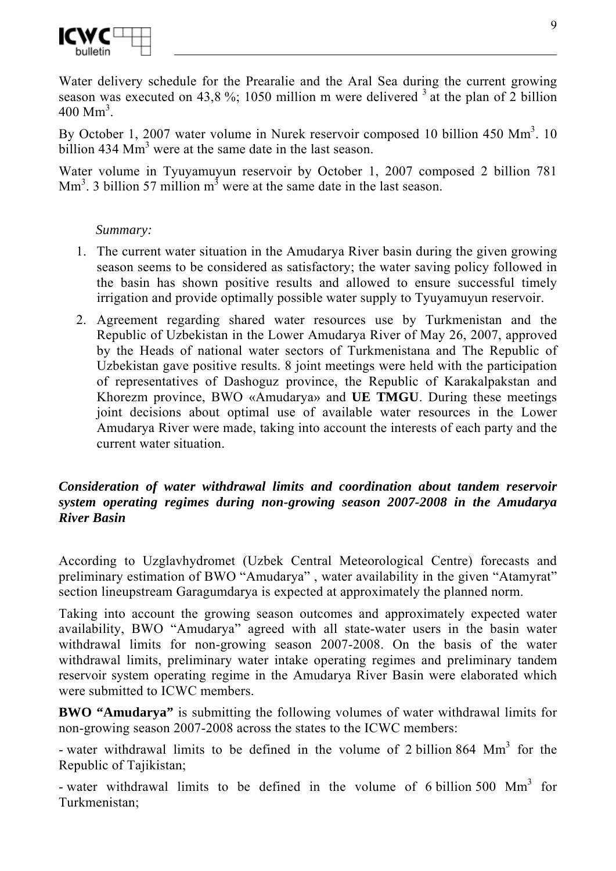

Water delivery schedule for the Prearalie and the Aral Sea during the current growing season was executed on 43,8 %; 1050 million m were delivered  $3$  at the plan of 2 billion  $400 \text{ Mm}^3$ .

By October 1, 2007 water volume in Nurek reservoir composed 10 billion  $450 \text{ Mm}^3$ . 10 billion  $434 \text{ Mm}^3$  were at the same date in the last season.

Water volume in Tyuyamuyun reservoir by October 1, 2007 composed 2 billion 781  $\text{Mm}^3$ . 3 billion 57 million m<sup>3</sup> were at the same date in the last season.

#### *Summary:*

- 1. The current water situation in the Amudarya River basin during the given growing season seems to be considered as satisfactory; the water saving policy followed in the basin has shown positive results and allowed to ensure successful timely irrigation and provide optimally possible water supply to Tyuyamuyun reservoir.
- 2. Agreement regarding shared water resources use by Turkmenistan and the Republic of Uzbekistan in the Lower Amudarya River of May 26, 2007, approved by the Heads of national water sectors of Turkmenistanа and The Republic of Uzbekistan gave positive results. 8 joint meetings were held with the participation of representatives of Dashoguz province, the Republic of Karakalpakstan and Khorezm province, BWO «Amudarya» and **UE TMGU**. During these meetings joint decisions about optimal use of available water resources in the Lower Amudarya River were made, taking into account the interests of each party and the current water situation.

#### *Consideration of water withdrawal limits and coordination about tandem reservoir system operating regimes during non-growing season 2007-2008 in the Amudarya River Basin*

According to Uzglavhydromet (Uzbek Central Meteorological Centre) forecasts and preliminary estimation of BWO "Amudarya" , water availability in the given "Atamyrat" section lineupstream Garagumdarya is expected at approximately the planned norm.

Taking into account the growing season outcomes and approximately expected water availability, BWO "Amudarya" agreed with all state-water users in the basin water withdrawal limits for non-growing season 2007-2008. On the basis of the water withdrawal limits, preliminary water intake operating regimes and preliminary tandem reservoir system operating regime in the Amudarya River Basin were elaborated which were submitted to ICWC members.

**BWO "Amudarya"** is submitting the following volumes of water withdrawal limits for non-growing season 2007-2008 across the states to the ICWC members:

- water withdrawal limits to be defined in the volume of 2 billion 864 Mm<sup>3</sup> for the Republic of Tajikistan;

- water withdrawal limits to be defined in the volume of 6 billion 500 Mm<sup>3</sup> for Turkmenistan;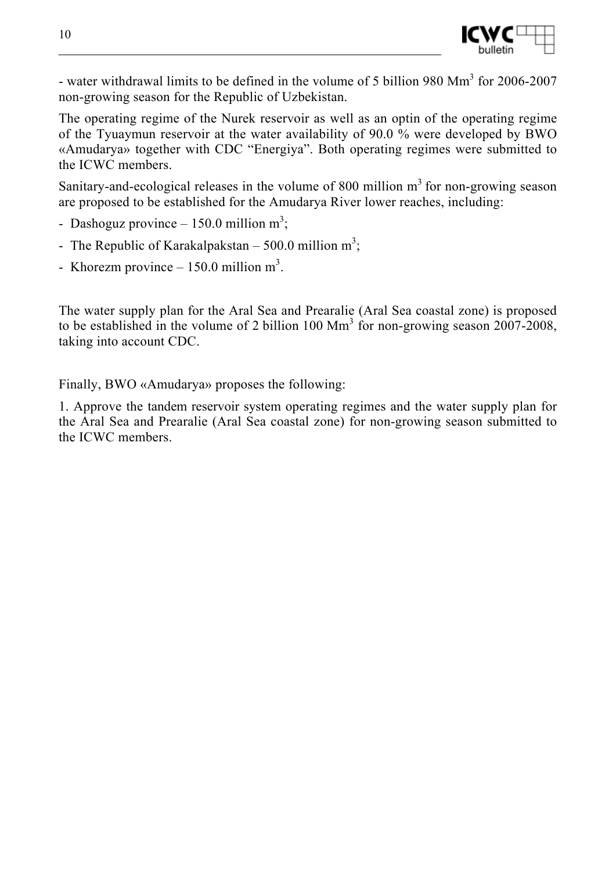

- water withdrawal limits to be defined in the volume of 5 billion 980 Mm<sup>3</sup> for 2006-2007 non-growing season for the Republic of Uzbekistan.

The operating regime of the Nurek reservoir as well as an optin of the operating regime of the Tyuaymun reservoir at the water availability of 90.0 % were developed by BWO «Amudarya» together with CDC "Energiya". Both operating regimes were submitted to the ICWC members.

Sanitary-and-ecological releases in the volume of 800 million  $m<sup>3</sup>$  for non-growing season are proposed to be established for the Amudarya River lower reaches, including:

- Dashoguz province  $-150.0$  million m<sup>3</sup>;
- The Republic of Karakalpakstan 500.0 million  $m^3$ ;
- Khorezm province  $-150.0$  million m<sup>3</sup>.

The water supply plan for the Aral Sea and Prearalie (Aral Sea coastal zone) is proposed to be established in the volume of 2 billion 100  $\text{Mm}^3$  for non-growing season 2007-2008, taking into account CDC.

Finally, BWO «Amudarya» proposes the following:

1. Approve the tandem reservoir system operating regimes and the water supply plan for the Aral Sea and Prearalie (Aral Sea coastal zone) for non-growing season submitted to the ICWC members.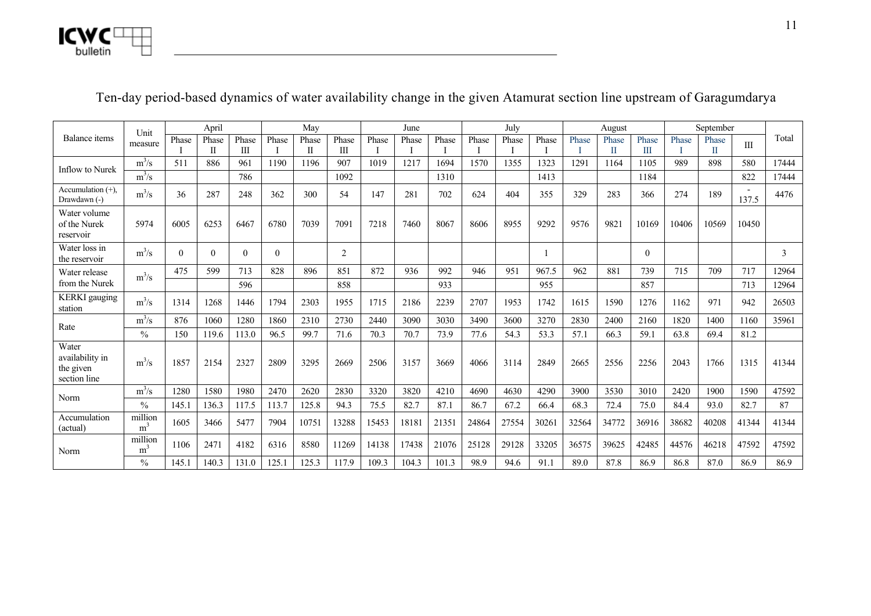

|                                                       | Unit                      |          | April      |            |          | May        |                |       | June  |       |       | July  |       |       | August |            |       | September  |              |       |
|-------------------------------------------------------|---------------------------|----------|------------|------------|----------|------------|----------------|-------|-------|-------|-------|-------|-------|-------|--------|------------|-------|------------|--------------|-------|
| Balance items                                         | measure                   | Phase    | Phase<br>П | Phase<br>Ш | Phase    | Phase<br>П | Phase<br>Ш     | Phase | Phase | Phase | Phase | Phase | Phase | Phase | Phase  | Phase<br>Ш | Phase | Phase<br>П | $\mathbf{I}$ | Total |
|                                                       | $m^3/s$                   | 511      | 886        | 961        | 1190     | 1196       | 907            | 1019  | 1217  | 1694  | 1570  | 1355  | 1323  | 1291  | 1164   | 1105       | 989   | 898        | 580          | 17444 |
| <b>Inflow to Nurek</b>                                | $m^3/s$                   |          |            | 786        |          |            | 1092           |       |       | 1310  |       |       | 1413  |       |        | 1184       |       |            | 822          | 17444 |
| Accumulation $(+)$ ,<br>Drawdawn (-)                  | $m^3/s$                   | 36       | 287        | 248        | 362      | 300        | 54             | 147   | 281   | 702   | 624   | 404   | 355   | 329   | 283    | 366        | 274   | 189        | 137.5        | 4476  |
| Water volume<br>of the Nurek<br>reservoir             | 5974                      | 6005     | 6253       | 6467       | 6780     | 7039       | 7091           | 7218  | 7460  | 8067  | 8606  | 8955  | 9292  | 9576  | 9821   | 10169      | 10406 | 10569      | 10450        |       |
| Water loss in<br>the reservoir                        | $m^3/s$                   | $\theta$ | $\Omega$   | $\Omega$   | $\Omega$ |            | $\overline{2}$ |       |       |       |       |       |       |       |        | $\Omega$   |       |            |              | 3     |
| Water release                                         | $m^3/s$                   | 475      | 599        | 713        | 828      | 896        | 851            | 872   | 936   | 992   | 946   | 951   | 967.5 | 962   | 881    | 739        | 715   | 709        | 717          | 12964 |
| from the Nurek                                        |                           |          |            | 596        |          |            | 858            |       |       | 933   |       |       | 955   |       |        | 857        |       |            | 713          | 12964 |
| <b>KERKI</b> gauging<br>station                       | $m^3/s$                   | 1314     | 1268       | 1446       | 1794     | 2303       | 1955           | 1715  | 2186  | 2239  | 2707  | 1953  | 1742  | 1615  | 1590   | 1276       | 1162  | 971        | 942          | 26503 |
| Rate                                                  | $m^3/s$                   | 876      | 1060       | 1280       | 1860     | 2310       | 2730           | 2440  | 3090  | 3030  | 3490  | 3600  | 3270  | 2830  | 2400   | 2160       | 1820  | 1400       | 1160         | 35961 |
|                                                       | $\frac{0}{0}$             | 150      | 119.6      | 113.0      | 96.5     | 99.7       | 71.6           | 70.3  | 70.7  | 73.9  | 77.6  | 54.3  | 53.3  | 57.1  | 66.3   | 59.1       | 63.8  | 69.4       | 81.2         |       |
| Water<br>availability in<br>the given<br>section line | $m^3/s$                   | 1857     | 2154       | 2327       | 2809     | 3295       | 2669           | 2506  | 3157  | 3669  | 4066  | 3114  | 2849  | 2665  | 2556   | 2256       | 2043  | 1766       | 1315         | 41344 |
| Norm                                                  | $m^3/s$                   | 1280     | 1580       | 1980       | 2470     | 2620       | 2830           | 3320  | 3820  | 4210  | 4690  | 4630  | 4290  | 3900  | 3530   | 3010       | 2420  | 1900       | 1590         | 47592 |
|                                                       | $\frac{0}{0}$             | 145.1    | 136.3      | 117.5      | 113.7    | 125.8      | 94.3           | 75.5  | 82.7  | 87.1  | 86.7  | 67.2  | 66.4  | 68.3  | 72.4   | 75.0       | 84.4  | 93.0       | 82.7         | 87    |
| Accumulation<br>(actual)                              | million<br>m <sup>3</sup> | 1605     | 3466       | 5477       | 7904     | 10751      | 13288          | 15453 | 18181 | 21351 | 24864 | 27554 | 30261 | 32564 | 34772  | 36916      | 38682 | 40208      | 41344        | 41344 |
| Norm                                                  | million<br>m <sup>3</sup> | 1106     | 2471       | 4182       | 6316     | 8580       | 11269          | 14138 | 17438 | 21076 | 25128 | 29128 | 33205 | 36575 | 39625  | 42485      | 44576 | 46218      | 47592        | 47592 |
|                                                       | $\frac{0}{0}$             | 145.1    | 140.3      | 131.0      | 125.1    | 125.3      | 117.9          | 109.3 | 104.3 | 101.3 | 98.9  | 94.6  | 91.1  | 89.0  | 87.8   | 86.9       | 86.8  | 87.0       | 86.9         | 86.9  |

# Ten-day period-based dynamics of water availability change in the given Atamurat section line upstream of Garagumdarya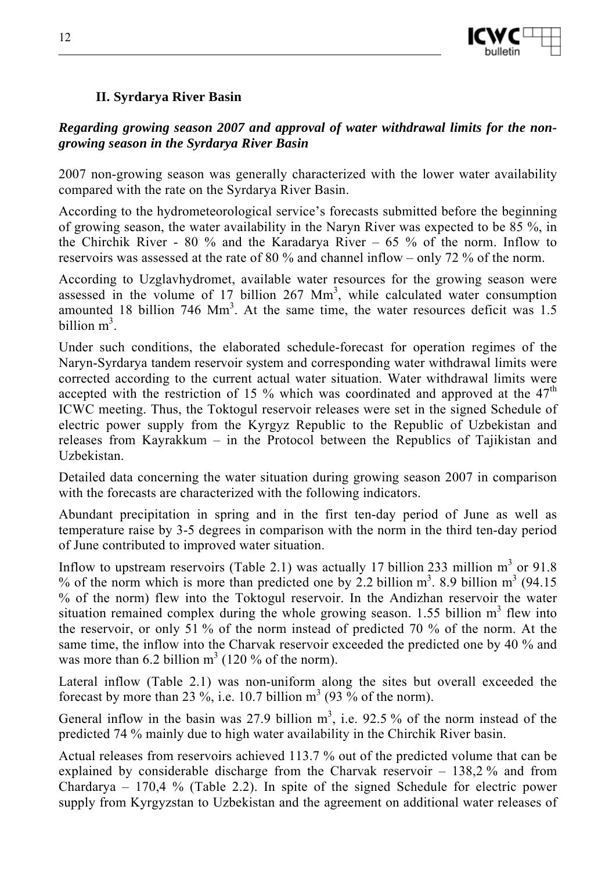

## **II. Syrdarya River Basin**

#### *Regarding growing season 2007 and approval of water withdrawal limits for the nongrowing season in the Syrdarya River Basin*

2007 non-growing season was generally characterized with the lower water availability compared with the rate on the Syrdarya River Basin.

According to the hydrometeorological service's forecasts submitted before the beginning of growing season, the water availability in the Naryn River was expected to be 85 %, in the Chirchik River - 80 % and the Karadarya River – 65 % of the norm. Inflow to reservoirs was assessed at the rate of 80 % and channel inflow – only 72 % of the norm.

According to Uzglavhydromet, available water resources for the growing season were assessed in the volume of 17 billion  $267 \text{ Mm}^3$ , while calculated water consumption amounted 18 billion 746  $\text{Mm}^3$ . At the same time, the water resources deficit was 1.5 billion  $m^3$ .

Under such conditions, the elaborated schedule-forecast for operation regimes of the Naryn-Syrdarya tandem reservoir system and corresponding water withdrawal limits were corrected according to the current actual water situation. Water withdrawal limits were accepted with the restriction of 15 % which was coordinated and approved at the  $47<sup>th</sup>$ ICWC meeting. Thus, the Toktogul reservoir releases were set in the signed Schedule of electric power supply from the Kyrgyz Republic to the Republic of Uzbekistan and releases from Kayrakkum – in the Protocol between the Republics of Tajikistan and Uzbekistan.

Detailed data concerning the water situation during growing season 2007 in comparison with the forecasts are characterized with the following indicators.

Abundant precipitation in spring and in the first ten-day period of June as well as temperature raise by 3-5 degrees in comparison with the norm in the third ten-day period of June contributed to improved water situation.

Inflow to upstream reservoirs (Table 2.1) was actually 17 billion 233 million  $m<sup>3</sup>$  or 91.8 % of the norm which is more than predicted one by 2.2 billion  $m^3$ . 8.9 billion  $m^3$  (94.15) % of the norm) flew into the Toktogul reservoir. In the Andizhan reservoir the water situation remained complex during the whole growing season.  $1.55$  billion  $m<sup>3</sup>$  flew into the reservoir, or only 51 % of the norm instead of predicted 70 % of the norm. At the same time, the inflow into the Charvak reservoir exceeded the predicted one by 40 % and was more than 6.2 billion  $m<sup>3</sup>$  (120 % of the norm).

Lateral inflow (Table 2.1) was non-uniform along the sites but overall exceeded the forecast by more than 23 %, i.e. 10.7 billion  $m^3$  (93 % of the norm).

General inflow in the basin was 27.9 billion  $m^3$ , i.e. 92.5 % of the norm instead of the predicted 74 % mainly due to high water availability in the Chirchik River basin.

Actual releases from reservoirs achieved 113.7 % out of the predicted volume that can be explained by considerable discharge from the Charvak reservoir – 138,2 % and from Chardarya – 170,4 % (Table 2.2). In spite of the signed Schedule for electric power supply from Kyrgyzstan to Uzbekistan and the agreement on additional water releases of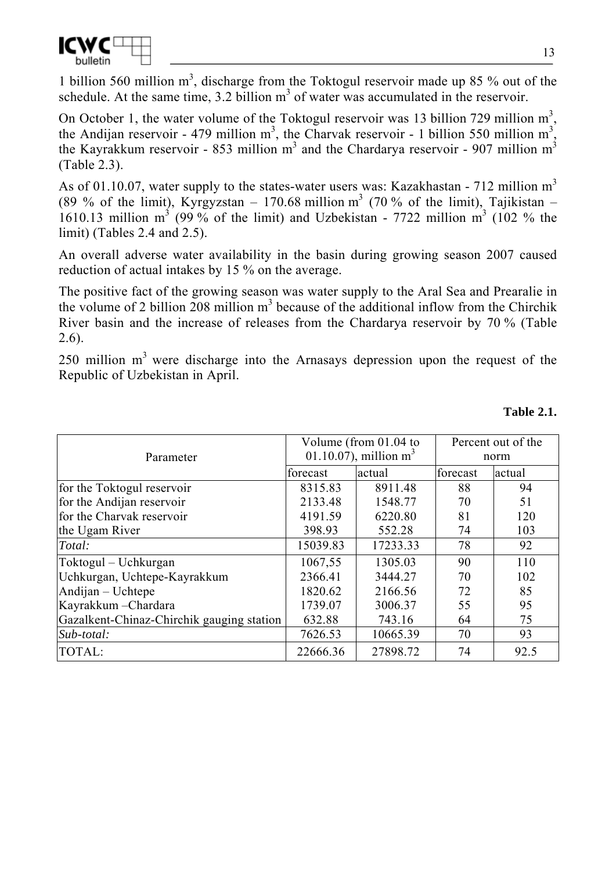

1 billion 560 million  $m<sup>3</sup>$ , discharge from the Toktogul reservoir made up 85 % out of the schedule. At the same time,  $3.2$  billion  $m<sup>3</sup>$  of water was accumulated in the reservoir.

On October 1, the water volume of the Toktogul reservoir was 13 billion 729 million  $m^3$ , the Andijan reservoir - 479 million m<sup>3</sup>, the Charvak reservoir - 1 billion 550 million m<sup>3</sup>, the Kayrakkum reservoir - 853 million m<sup>3</sup> and the Chardarya reservoir - 907 million m<sup>3</sup> (Table 2.3).

As of 01.10.07, water supply to the states-water users was: Kazakhastan - 712 million  $m<sup>3</sup>$ (89 % of the limit), Kyrgyzstan – 170.68 million m<sup>3</sup> (70 % of the limit), Tajikistan – 1610.13 million  $m^3$  (99% of the limit) and Uzbekistan - 7722 million  $m^3$  (102 % the limit) (Tables 2.4 and 2.5).

An overall adverse water availability in the basin during growing season 2007 caused reduction of actual intakes by 15 % on the average.

The positive fact of the growing season was water supply to the Aral Sea and Prearalie in the volume of 2 billion  $208$  million  $m<sup>3</sup>$  because of the additional inflow from the Chirchik River basin and the increase of releases from the Chardarya reservoir by 70 % (Table 2.6).

250 million  $m<sup>3</sup>$  were discharge into the Arnasays depression upon the request of the Republic of Uzbekistan in April.

|                                           |          | Volume (from 01.04 to    | Percent out of the |        |  |
|-------------------------------------------|----------|--------------------------|--------------------|--------|--|
| Parameter                                 |          | 01.10.07), million $m^3$ | norm               |        |  |
|                                           | forecast | actual                   | forecast           | actual |  |
| for the Toktogul reservoir                | 8315.83  | 8911.48                  | 88                 | 94     |  |
| for the Andijan reservoir                 | 2133.48  | 1548.77                  | 70                 | 51     |  |
| for the Charvak reservoir                 | 4191.59  | 6220.80                  | 81                 | 120    |  |
| the Ugam River                            | 398.93   | 552.28                   | 74                 | 103    |  |
| Total:                                    | 15039.83 | 17233.33                 | 78                 | 92     |  |
| Toktogul – Uchkurgan                      | 1067,55  | 1305.03                  | 90                 | 110    |  |
| Uchkurgan, Uchtepe-Kayrakkum              | 2366.41  | 3444.27                  | 70                 | 102    |  |
| Andijan - Uchtepe                         | 1820.62  | 2166.56                  | 72                 | 85     |  |
| Kayrakkum - Chardara                      | 1739.07  | 3006.37                  | 55                 | 95     |  |
| Gazalkent-Chinaz-Chirchik gauging station | 632.88   | 743.16                   | 64                 | 75     |  |
| Sub-total:                                | 7626.53  | 10665.39                 | 70                 | 93     |  |
| TOTAL:                                    | 22666.36 | 27898.72                 | 74                 | 92.5   |  |

#### **Table 2.1.**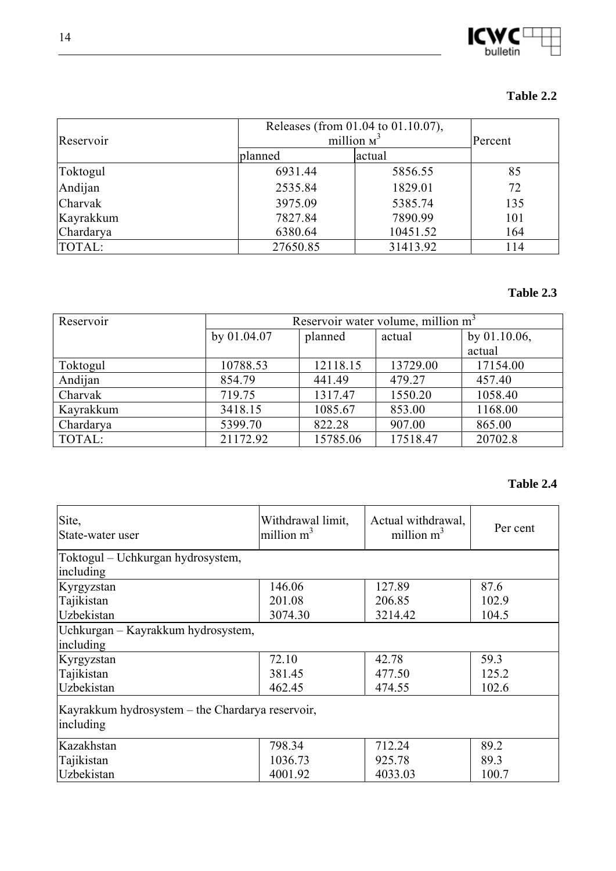

#### **Table 2.2**

| Reservoir      | Releases (from 01.04 to 01.10.07),<br>million $M^3$ | Percent  |     |
|----------------|-----------------------------------------------------|----------|-----|
|                | planned                                             | actual   |     |
| Toktogul       | 6931.44                                             | 5856.55  | 85  |
| Andijan        | 2535.84                                             | 1829.01  | 72  |
| <b>Charvak</b> | 3975.09                                             | 5385.74  | 135 |
| Kayrakkum      | 7827.84                                             | 7890.99  | 101 |
| Chardarya      | 6380.64                                             | 10451.52 | 164 |
| TOTAL:         | 27650.85                                            | 31413.92 | 114 |

#### **Table 2.3**

| Reservoir | Reservoir water volume, million m <sup>3</sup> |          |          |                 |  |  |
|-----------|------------------------------------------------|----------|----------|-----------------|--|--|
|           | by 01.04.07                                    | planned  | actual   | by $01.10.06$ , |  |  |
|           |                                                |          |          | actual          |  |  |
| Toktogul  | 10788.53                                       | 12118.15 | 13729.00 | 17154.00        |  |  |
| Andijan   | 854.79                                         | 441.49   | 479.27   | 457.40          |  |  |
| Charvak   | 719.75                                         | 1317.47  | 1550.20  | 1058.40         |  |  |
| Kayrakkum | 3418.15                                        | 1085.67  | 853.00   | 1168.00         |  |  |
| Chardarya | 5399.70                                        | 822.28   | 907.00   | 865.00          |  |  |
| TOTAL:    | 21172.92                                       | 15785.06 | 17518.47 | 20702.8         |  |  |

### **Table 2.4**

| Site,<br>State-water user                                     | Withdrawal limit,<br>million $m^3$ | Actual withdrawal,<br>million $m^3$ | Per cent |
|---------------------------------------------------------------|------------------------------------|-------------------------------------|----------|
| Toktogul – Uchkurgan hydrosystem,<br>including                |                                    |                                     |          |
| Kyrgyzstan                                                    | 146.06                             | 127.89                              | 87.6     |
| Tajikistan                                                    | 201.08                             | 206.85                              | 102.9    |
| Uzbekistan                                                    | 3074.30                            | 3214.42                             | 104.5    |
| Uchkurgan – Kayrakkum hydrosystem,                            |                                    |                                     |          |
| including                                                     |                                    |                                     |          |
| Kyrgyzstan                                                    | 72.10                              | 42.78                               | 59.3     |
| Tajikistan                                                    | 381.45                             | 477.50                              | 125.2    |
| Uzbekistan                                                    | 462.45                             | 474.55                              | 102.6    |
| Kayrakkum hydrosystem – the Chardarya reservoir,<br>including |                                    |                                     |          |
| Kazakhstan                                                    | 798.34                             | 712.24                              | 89.2     |
| Tajikistan                                                    | 1036.73                            | 925.78                              | 89.3     |
| Uzbekistan                                                    | 4001.92                            | 4033.03                             | 100.7    |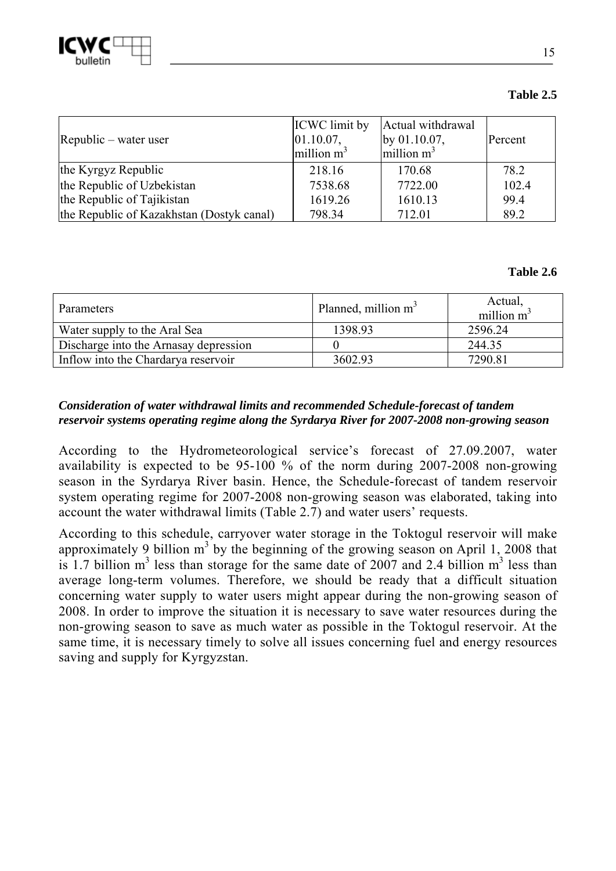

#### **Table 2.5**

| $[{\rm Republic - water user}]$           | <b>ICWC</b> limit by<br> 01.10.07,<br>million $m^3$ | Actual withdrawal<br>by $01.10.07$ ,<br>million $m^3$ | Percent |
|-------------------------------------------|-----------------------------------------------------|-------------------------------------------------------|---------|
| the Kyrgyz Republic                       | 218.16                                              | 170.68                                                | 78.2    |
| the Republic of Uzbekistan                | 7538.68                                             | 7722.00                                               | 102.4   |
| the Republic of Tajikistan                | 1619.26                                             | 1610.13                                               | 99.4    |
| the Republic of Kazakhstan (Dostyk canal) | 798.34                                              | 712.01                                                | 89.2    |

#### **Table 2.6**

| Parameters                            | Planned, million m <sup>3</sup> | Actual,<br>million $m^3$ |
|---------------------------------------|---------------------------------|--------------------------|
| Water supply to the Aral Sea          | 1398.93                         | 2596.24                  |
| Discharge into the Arnasay depression |                                 | 244.35                   |
| Inflow into the Chardarya reservoir   | 3602.93                         | 7290.81                  |

#### *Consideration of water withdrawal limits and recommended Schedule-forecast of tandem reservoir systems operating regime along the Syrdarya River for 2007-2008 non-growing season*

According to the Hydrometeorological service's forecast of 27.09.2007, water availability is expected to be 95-100 % of the norm during 2007-2008 non-growing season in the Syrdarya River basin. Hence, the Schedule-forecast of tandem reservoir system operating regime for 2007-2008 non-growing season was elaborated, taking into account the water withdrawal limits (Table 2.7) and water users' requests.

According to this schedule, carryover water storage in the Toktogul reservoir will make approximately 9 billion  $m<sup>3</sup>$  by the beginning of the growing season on April 1, 2008 that is 1.7 billion  $m<sup>3</sup>$  less than storage for the same date of 2007 and 2.4 billion  $m<sup>3</sup>$  less than average long-term volumes. Therefore, we should be ready that a difficult situation concerning water supply to water users might appear during the non-growing season of 2008. In order to improve the situation it is necessary to save water resources during the non-growing season to save as much water as possible in the Toktogul reservoir. At the same time, it is necessary timely to solve all issues concerning fuel and energy resources saving and supply for Kyrgyzstan.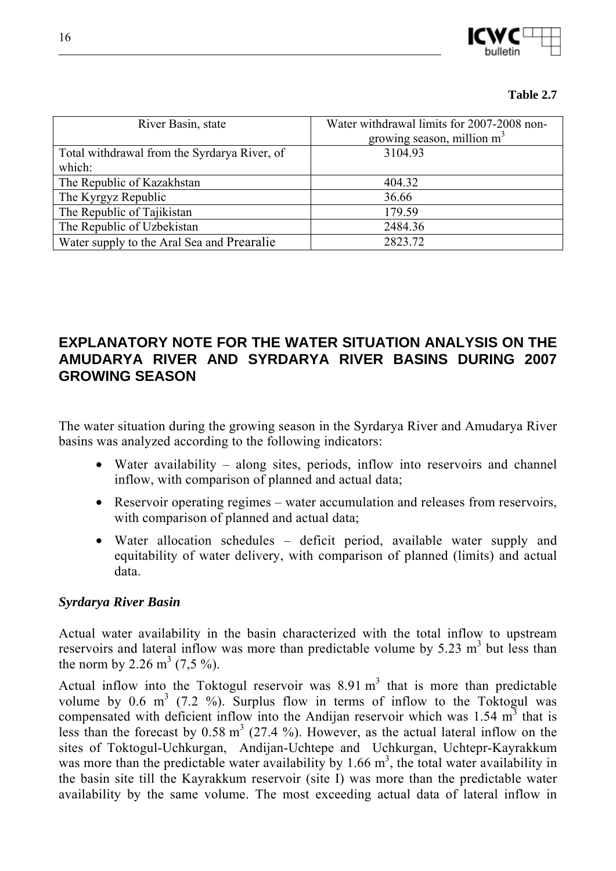

#### **Table 2.7**

| River Basin, state                                     | Water withdrawal limits for 2007-2008 non-<br>growing season, million $m3$ |
|--------------------------------------------------------|----------------------------------------------------------------------------|
| Total withdrawal from the Syrdarya River, of<br>which: | 3104.93                                                                    |
| The Republic of Kazakhstan                             | 404.32                                                                     |
| The Kyrgyz Republic                                    | 36.66                                                                      |
| The Republic of Tajikistan                             | 179.59                                                                     |
| The Republic of Uzbekistan                             | 2484.36                                                                    |
| Water supply to the Aral Sea and Prearalie             | 2823.72                                                                    |

## **EXPLANATORY NOTE FOR THE WATER SITUATION ANALYSIS ON THE AMUDARYA RIVER AND SYRDARYA RIVER BASINS DURING 2007 GROWING SEASON**

The water situation during the growing season in the Syrdarya River and Amudarya River basins was analyzed according to the following indicators:

- Water availability along sites, periods, inflow into reservoirs and channel inflow, with comparison of planned and actual data;
- Reservoir operating regimes water accumulation and releases from reservoirs, with comparison of planned and actual data;
- Water allocation schedules deficit period, available water supply and equitability of water delivery, with comparison of planned (limits) and actual data.

#### *Syrdarya River Basin*

Actual water availability in the basin characterized with the total inflow to upstream reservoirs and lateral inflow was more than predictable volume by  $5.23 \text{ m}^3$  but less than the norm by 2.26  $m^3$  (7,5 %).

Actual inflow into the Toktogul reservoir was  $8.91 \text{ m}^3$  that is more than predictable volume by 0.6  $m^3$  (7.2 %). Surplus flow in terms of inflow to the Toktogul was compensated with deficient inflow into the Andijan reservoir which was  $1.54 \text{ m}^3$  that is less than the forecast by  $0.58 \text{ m}^3$  (27.4 %). However, as the actual lateral inflow on the sites of Toktogul-Uchkurgan, Andijan-Uchtepe and Uchkurgan, Uchtepr-Kayrakkum was more than the predictable water availability by 1.66  $m^3$ , the total water availability in the basin site till the Kayrakkum reservoir (site I) was more than the predictable water availability by the same volume. The most exceeding actual data of lateral inflow in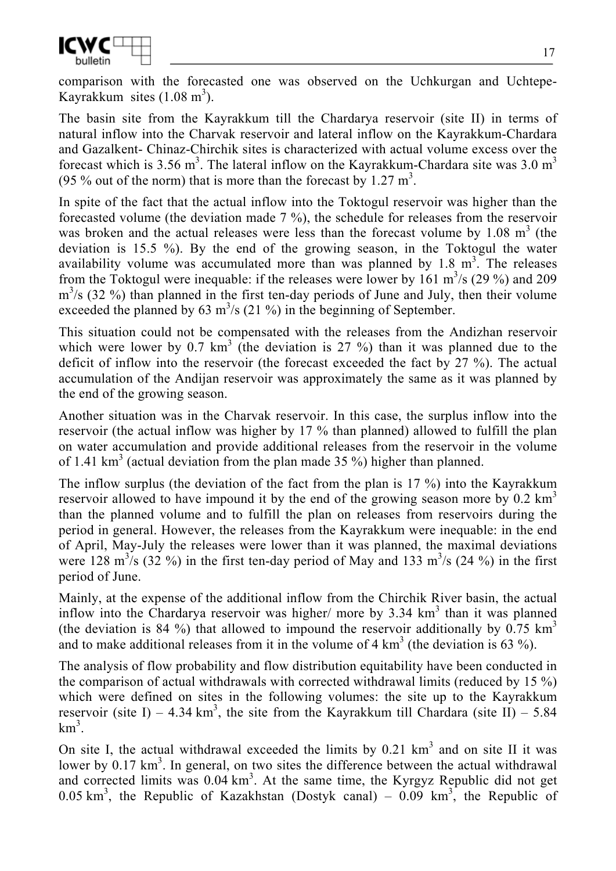

comparison with the forecasted one was observed on the Uchkurgan and Uchtepe-Kayrakkum sites  $(1.08 \text{ m}^3)$ .

The basin site from the Kayrakkum till the Chardarya reservoir (site II) in terms of natural inflow into the Charvak reservoir and lateral inflow on the Kayrakkum-Chardara and Gazalkent- Chinaz-Chirchik sites is characterized with actual volume excess over the forecast which is 3.56 m<sup>3</sup>. The lateral inflow on the Kayrakkum-Chardara site was 3.0 m<sup>3</sup> (95 % out of the norm) that is more than the forecast by  $1.27 \text{ m}^3$ .

In spite of the fact that the actual inflow into the Toktogul reservoir was higher than the forecasted volume (the deviation made 7 %), the schedule for releases from the reservoir was broken and the actual releases were less than the forecast volume by  $1.08 \text{ m}^3$  (the deviation is 15.5 %). By the end of the growing season, in the Toktogul the water availability volume was accumulated more than was planned by  $1.8 \text{ m}^3$ . The releases from the Toktogul were inequable: if the releases were lower by  $161 \text{ m}^3/\text{s}$  (29 %) and 209  $m<sup>3</sup>/s$  (32 %) than planned in the first ten-day periods of June and July, then their volume exceeded the planned by 63  $\text{m}^3$ /s (21 %) in the beginning of September.

This situation could not be compensated with the releases from the Andizhan reservoir which were lower by 0.7  $km^3$  (the deviation is 27 %) than it was planned due to the deficit of inflow into the reservoir (the forecast exceeded the fact by 27 %). The actual accumulation of the Andijan reservoir was approximately the same as it was planned by the end of the growing season.

Another situation was in the Charvak reservoir. In this case, the surplus inflow into the reservoir (the actual inflow was higher by 17 % than planned) allowed to fulfill the plan on water accumulation and provide additional releases from the reservoir in the volume of 1.41  $\text{km}^3$  (actual deviation from the plan made 35 %) higher than planned.

The inflow surplus (the deviation of the fact from the plan is 17 %) into the Kayrakkum reservoir allowed to have impound it by the end of the growing season more by  $0.2 \text{ km}^3$ than the planned volume and to fulfill the plan on releases from reservoirs during the period in general. However, the releases from the Kayrakkum were inequable: in the end of April, May-July the releases were lower than it was planned, the maximal deviations were 128 m<sup>3</sup>/s (32 %) in the first ten-day period of May and 133 m<sup>3</sup>/s (24 %) in the first period of June.

Mainly, at the expense of the additional inflow from the Chirchik River basin, the actual inflow into the Chardarya reservoir was higher/ more by  $3.34 \text{ km}^3$  than it was planned (the deviation is 84 %) that allowed to impound the reservoir additionally by 0.75  $km<sup>3</sup>$ and to make additional releases from it in the volume of  $4 \text{ km}^3$  (the deviation is 63 %).

The analysis of flow probability and flow distribution equitability have been conducted in the comparison of actual withdrawals with corrected withdrawal limits (reduced by 15 %) which were defined on sites in the following volumes: the site up to the Kayrakkum reservoir (site I) – 4.34 km<sup>3</sup>, the site from the Kayrakkum till Chardara (site II) – 5.84  $km^3$ .

On site I, the actual withdrawal exceeded the limits by  $0.21 \text{ km}^3$  and on site II it was lower by  $0.17 \text{ km}^3$ . In general, on two sites the difference between the actual withdrawal and corrected limits was  $0.04 \text{ km}^3$ . At the same time, the Kyrgyz Republic did not get 0.05 km<sup>3</sup>, the Republic of Kazakhstan (Dostyk canal) – 0.09 km<sup>3</sup>, the Republic of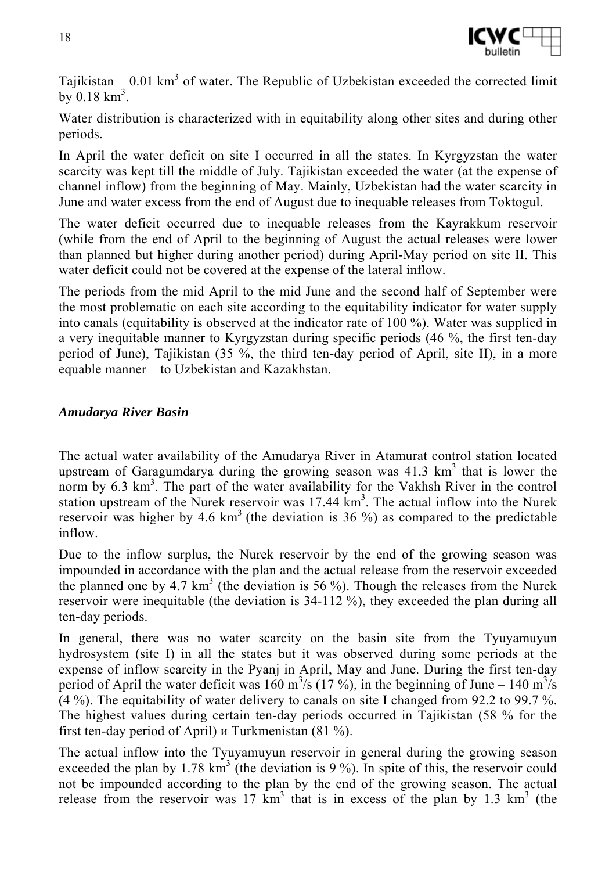

Tajikistan  $-0.01 \text{ km}^3$  of water. The Republic of Uzbekistan exceeded the corrected limit by  $0.18 \text{ km}^3$ .

Water distribution is characterized with in equitability along other sites and during other periods.

In April the water deficit on site I occurred in all the states. In Kyrgyzstan the water scarcity was kept till the middle of July. Tajikistan exceeded the water (at the expense of channel inflow) from the beginning of May. Mainly, Uzbekistan had the water scarcity in June and water excess from the end of August due to inequable releases from Toktogul.

The water deficit occurred due to inequable releases from the Kayrakkum reservoir (while from the end of April to the beginning of August the actual releases were lower than planned but higher during another period) during April-May period on site II. This water deficit could not be covered at the expense of the lateral inflow.

The periods from the mid April to the mid June and the second half of September were the most problematic on each site according to the equitability indicator for water supply into canals (equitability is observed at the indicator rate of 100 %). Water was supplied in a very inequitable manner to Kyrgyzstan during specific periods (46 %, the first ten-day period of June), Tajikistan (35 %, the third ten-day period of April, site II), in a more equable manner – to Uzbekistan and Kazakhstan.

#### *Amudarya River Basin*

The actual water availability of the Amudarya River in Atamurat control station located upstream of Garagumdarya during the growing season was  $41.3 \text{ km}^3$  that is lower the norm by 6.3 km<sup>3</sup>. The part of the water availability for the Vakhsh River in the control station upstream of the Nurek reservoir was  $17.44 \text{ km}^3$ . The actual inflow into the Nurek reservoir was higher by 4.6  $km<sup>3</sup>$  (the deviation is 36 %) as compared to the predictable inflow.

Due to the inflow surplus, the Nurek reservoir by the end of the growing season was impounded in accordance with the plan and the actual release from the reservoir exceeded the planned one by 4.7  $km^3$  (the deviation is 56 %). Though the releases from the Nurek reservoir were inequitable (the deviation is 34-112 %), they exceeded the plan during all ten-day periods.

In general, there was no water scarcity on the basin site from the Tyuyamuyun hydrosystem (site I) in all the states but it was observed during some periods at the expense of inflow scarcity in the Pyanj in April, May and June. During the first ten-day period of April the water deficit was  $160 \text{ m}^3/\text{s}$  (17%), in the beginning of June – 140 m<sup>3</sup>/s (4 %). The equitability of water delivery to canals on site I changed from 92.2 to 99.7 %. The highest values during certain ten-day periods occurred in Tajikistan (58 % for the first ten-day period of April) и Turkmenistan (81 %).

The actual inflow into the Tyuyamuyun reservoir in general during the growing season exceeded the plan by 1.78  $km^3$  (the deviation is 9%). In spite of this, the reservoir could not be impounded according to the plan by the end of the growing season. The actual release from the reservoir was  $17 \text{ km}^3$  that is in excess of the plan by 1.3 km<sup>3</sup> (the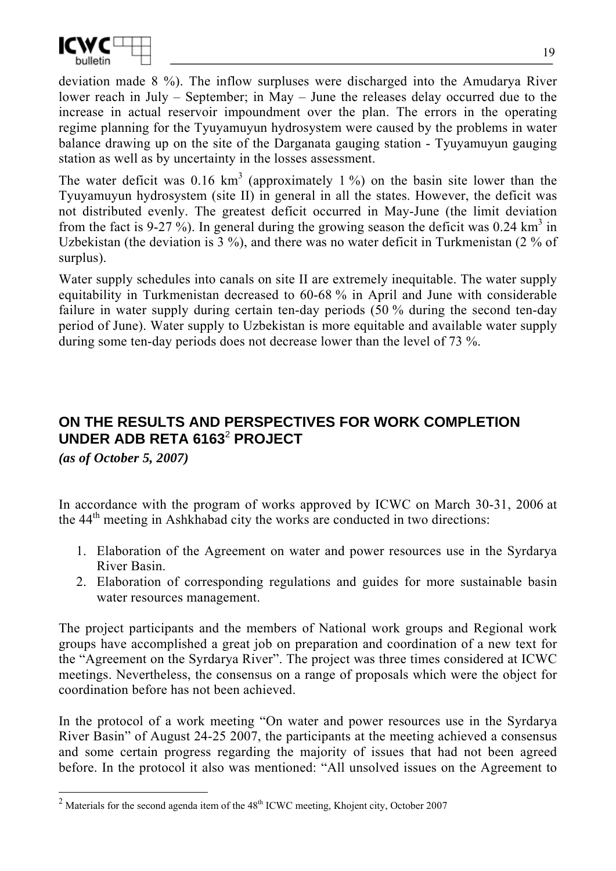

deviation made 8 %). The inflow surpluses were discharged into the Amudarya River lower reach in July – September; in May – June the releases delay occurred due to the increase in actual reservoir impoundment over the plan. The errors in the operating regime planning for the Tyuyamuyun hydrosystem were caused by the problems in water balance drawing up on the site of the Darganata gauging station - Tyuyamuyun gauging station as well as by uncertainty in the losses assessment.

The water deficit was 0.16  $km^3$  (approximately 1%) on the basin site lower than the Tyuyamuyun hydrosystem (site II) in general in all the states. However, the deficit was not distributed evenly. The greatest deficit occurred in May-June (the limit deviation from the fact is 9-27%). In general during the growing season the deficit was 0.24 km<sup>3</sup> in Uzbekistan (the deviation is 3 %), and there was no water deficit in Turkmenistan (2 % of surplus).

Water supply schedules into canals on site II are extremely inequitable. The water supply equitability in Turkmenistan decreased to 60-68 % in April and June with considerable failure in water supply during certain ten-day periods (50 % during the second ten-day period of June). Water supply to Uzbekistan is more equitable and available water supply during some ten-day periods does not decrease lower than the level of 73 %.

# **ON THE RESULTS AND PERSPECTIVES FOR WORK COMPLETION UNDER ADB RETA 6163**<sup>2</sup>  **PROJECT**

*(as of October 5, 2007)* 

In accordance with the program of works approved by ICWC on March 30-31, 2006 at the 44th meeting in Ashkhabad city the works are conducted in two directions:

- 1. Elaboration of the Agreement on water and power resources use in the Syrdarya River Basin.
- 2. Elaboration of corresponding regulations and guides for more sustainable basin water resources management.

The project participants and the members of National work groups and Regional work groups have accomplished a great job on preparation and coordination of a new text for the "Agreement on the Syrdarya River". The project was three times considered at ICWC meetings. Nevertheless, the consensus on a range of proposals which were the object for coordination before has not been achieved.

In the protocol of a work meeting "On water and power resources use in the Syrdarya River Basin" of August 24-25 2007, the participants at the meeting achieved a consensus and some certain progress regarding the majority of issues that had not been agreed before. In the protocol it also was mentioned: "All unsolved issues on the Agreement to

<sup>&</sup>lt;sup>2</sup> Materials for the second agenda item of the 48<sup>th</sup> ICWC meeting, Khojent city, October 2007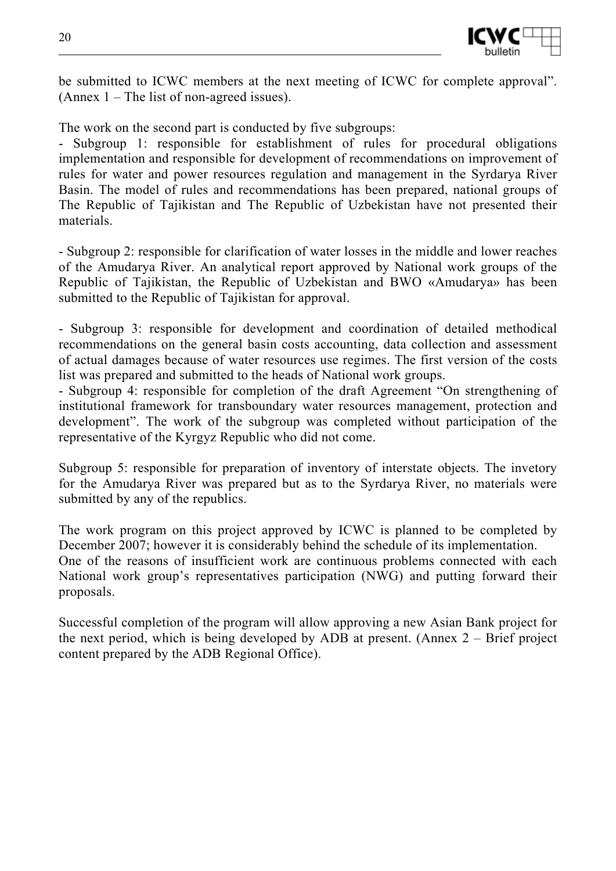

be submitted to ICWC members at the next meeting of ICWC for complete approval". (Annex 1 – The list of non-agreed issues).

The work on the second part is conducted by five subgroups:

- Subgroup 1: responsible for establishment of rules for procedural obligations implementation and responsible for development of recommendations on improvement of rules for water and power resources regulation and management in the Syrdarya River Basin. The model of rules and recommendations has been prepared, national groups of The Republic of Tajikistan and The Republic of Uzbekistan have not presented their materials.

- Subgroup 2: responsible for clarification of water losses in the middle and lower reaches of the Amudarya River. An analytical report approved by National work groups of the Republic of Tajikistan, the Republic of Uzbekistan and BWO «Amudarya» has been submitted to the Republic of Tajikistan for approval.

- Subgroup 3: responsible for development and coordination of detailed methodical recommendations on the general basin costs accounting, data collection and assessment of actual damages because of water resources use regimes. The first version of the costs list was prepared and submitted to the heads of National work groups.

- Subgroup 4: responsible for completion of the draft Agreement "On strengthening of institutional framework for transboundary water resources management, protection and development". The work of the subgroup was completed without participation of the representative of the Kyrgyz Republic who did not come.

Subgroup 5: responsible for preparation of inventory of interstate objects. The invetory for the Amudarya River was prepared but as to the Syrdarya River, no materials were submitted by any of the republics.

The work program on this project approved by ICWC is planned to be completed by December 2007; however it is considerably behind the schedule of its implementation. One of the reasons of insufficient work are continuous problems connected with each National work group's representatives participation (NWG) and putting forward their proposals.

Successful completion of the program will allow approving a new Asian Bank project for the next period, which is being developed by ADB at present. (Annex 2 – Brief project content prepared by the ADB Regional Office).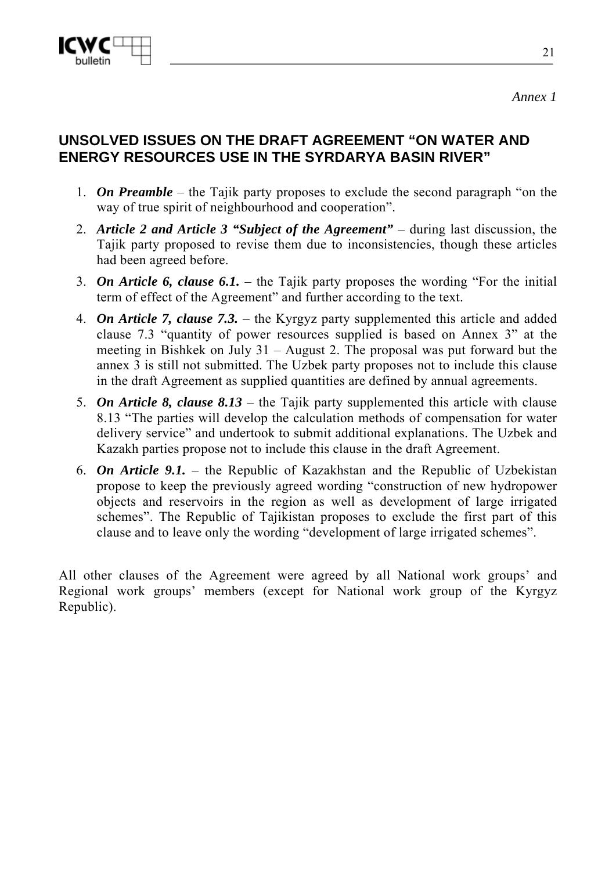

## **UNSOLVED ISSUES ON THE DRAFT AGREEMENT "ON WATER AND ENERGY RESOURCES USE IN THE SYRDARYA BASIN RIVER"**

- 1. *On Preamble* the Tajik party proposes to exclude the second paragraph "on the way of true spirit of neighbourhood and cooperation".
- 2. *Article 2 and Article 3 "Subject of the Agreement"* during last discussion, the Tajik party proposed to revise them due to inconsistencies, though these articles had been agreed before.
- 3. *On Article 6, clause 6.1.* the Tajik party proposes the wording "For the initial term of effect of the Agreement" and further according to the text.
- 4. *On Article 7, clause 7.3.*  the Kyrgyz party supplemented this article and added clause 7.3 "quantity of power resources supplied is based on Annex 3" at the meeting in Bishkek on July 31 – August 2. The proposal was put forward but the annex 3 is still not submitted. The Uzbek party proposes not to include this clause in the draft Agreement as supplied quantities are defined by annual agreements.
- 5. *On Article 8, clause 8.13* the Tajik party supplemented this article with clause 8.13 "The parties will develop the calculation methods of compensation for water delivery service" and undertook to submit additional explanations. The Uzbek and Kazakh parties propose not to include this clause in the draft Agreement.
- 6. *On Article 9.1.* the Republic of Kazakhstan and the Republic of Uzbekistan propose to keep the previously agreed wording "construction of new hydropower objects and reservoirs in the region as well as development of large irrigated schemes". The Republic of Tajikistan proposes to exclude the first part of this clause and to leave only the wording "development of large irrigated schemes".

All other clauses of the Agreement were agreed by all National work groups' and Regional work groups' members (except for National work group of the Kyrgyz Republic).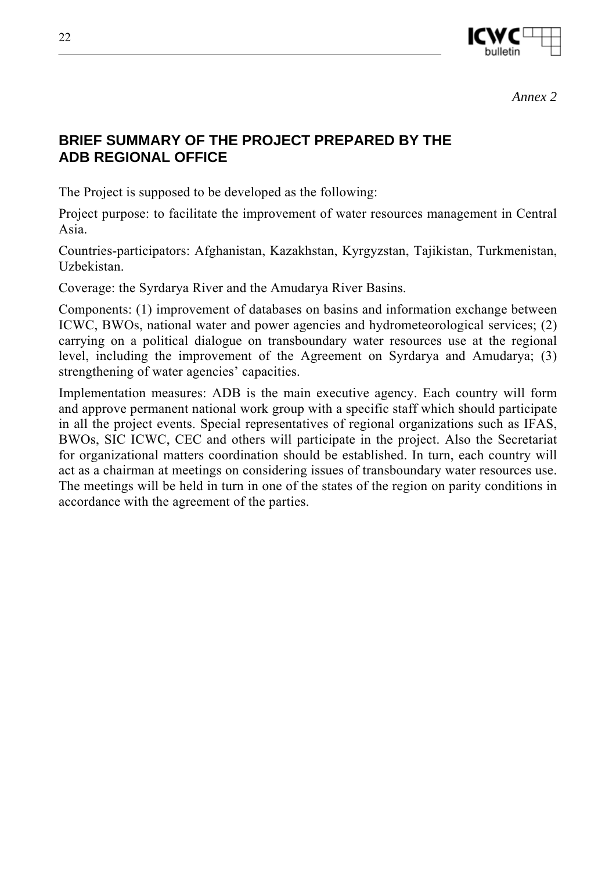

*Annex 2* 

## **BRIEF SUMMARY OF THE PROJECT PREPARED BY THE ADB REGIONAL OFFICE**

The Project is supposed to be developed as the following:

Project purpose: to facilitate the improvement of water resources management in Central Asia.

Countries-participators: Afghanistan, Kazakhstan, Kyrgyzstan, Tajikistan, Turkmenistan, Uzbekistan.

Coverage: the Syrdarya River and the Amudarya River Basins.

Components: (1) improvement of databases on basins and information exchange between ICWC, BWOs, national water and power agencies and hydrometeorological services; (2) carrying on a political dialogue on transboundary water resources use at the regional level, including the improvement of the Agreement on Syrdarya and Amudarya; (3) strengthening of water agencies' capacities.

Implementation measures: ADB is the main executive agency. Each country will form and approve permanent national work group with a specific staff which should participate in all the project events. Special representatives of regional organizations such as IFAS, BWOs, SIC ICWC, CEC and others will participate in the project. Also the Secretariat for organizational matters coordination should be established. In turn, each country will act as a chairman at meetings on considering issues of transboundary water resources use. The meetings will be held in turn in one of the states of the region on parity conditions in accordance with the agreement of the parties.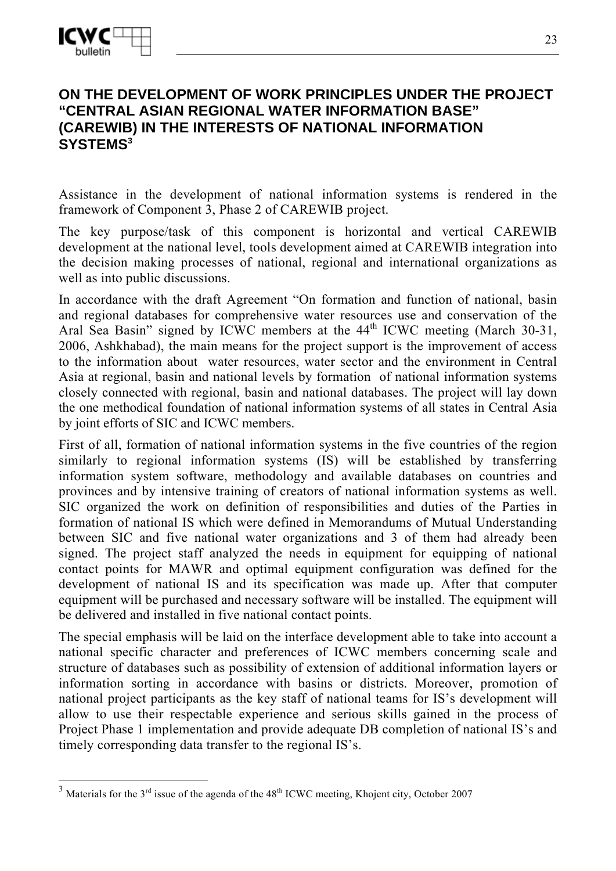$\overline{a}$ 

## **ON THE DEVELOPMENT OF WORK PRINCIPLES UNDER THE PROJECT "CENTRAL ASIAN REGIONAL WATER INFORMATION BASE" (CAREWIB) IN THE INTERESTS OF NATIONAL INFORMATION SYSTEMS3**

Assistance in the development of national information systems is rendered in the framework of Component 3, Phase 2 of CAREWIB project.

The key purpose/task of this component is horizontal and vertical CAREWIB development at the national level, tools development aimed at CAREWIB integration into the decision making processes of national, regional and international organizations as well as into public discussions.

In accordance with the draft Agreement "On formation and function of national, basin and regional databases for comprehensive water resources use and conservation of the Aral Sea Basin" signed by ICWC members at the 44<sup>th</sup> ICWC meeting (March 30-31, 2006, Ashkhabad), the main means for the project support is the improvement of access to the information about water resources, water sector and the environment in Central Asia at regional, basin and national levels by formation of national information systems closely connected with regional, basin and national databases. The project will lay down the one methodical foundation of national information systems of all states in Central Asia by joint efforts of SIC and ICWC members.

First of all, formation of national information systems in the five countries of the region similarly to regional information systems (IS) will be established by transferring information system software, methodology and available databases on countries and provinces and by intensive training of creators of national information systems as well. SIC organized the work on definition of responsibilities and duties of the Parties in formation of national IS which were defined in Memorandums of Mutual Understanding between SIC and five national water organizations and 3 of them had already been signed. The project staff analyzed the needs in equipment for equipping of national contact points for MAWR and optimal equipment configuration was defined for the development of national IS and its specification was made up. After that computer equipment will be purchased and necessary software will be installed. The equipment will be delivered and installed in five national contact points.

The special emphasis will be laid on the interface development able to take into account a national specific character and preferences of ICWC members concerning scale and structure of databases such as possibility of extension of additional information layers or information sorting in accordance with basins or districts. Moreover, promotion of national project participants as the key staff of national teams for IS's development will allow to use their respectable experience and serious skills gained in the process of Project Phase 1 implementation and provide adequate DB completion of national IS's and timely corresponding data transfer to the regional IS's.

<sup>&</sup>lt;sup>3</sup> Materials for the 3<sup>rd</sup> issue of the agenda of the 48<sup>th</sup> ICWC meeting, Khojent city, October 2007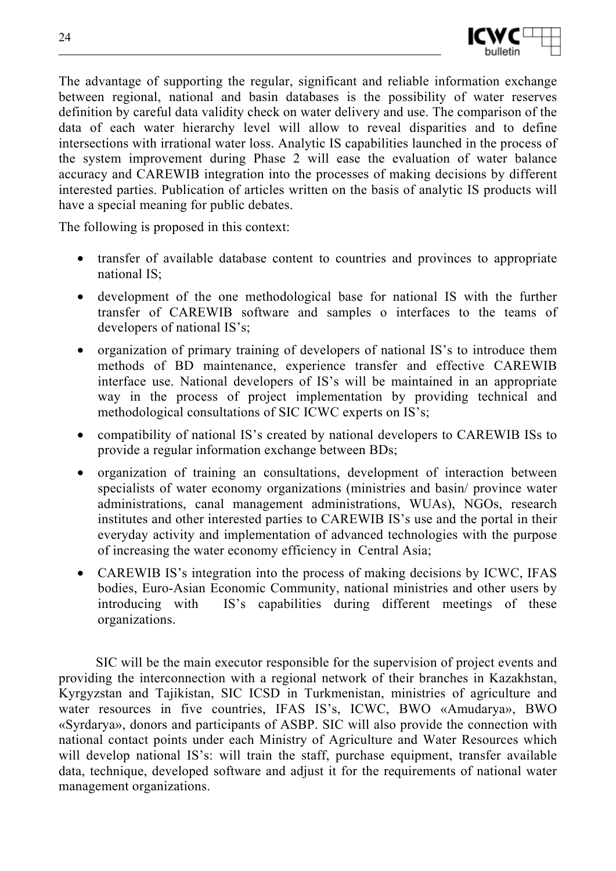

The advantage of supporting the regular, significant and reliable information exchange between regional, national and basin databases is the possibility of water reserves definition by careful data validity check on water delivery and use. The comparison of the data of each water hierarchy level will allow to reveal disparities and to define intersections with irrational water loss. Analytic IS capabilities launched in the process of the system improvement during Phase 2 will ease the evaluation of water balance accuracy and CAREWIB integration into the processes of making decisions by different interested parties. Publication of articles written on the basis of analytic IS products will have a special meaning for public debates.

The following is proposed in this context:

- transfer of available database content to countries and provinces to appropriate national IS;
- development of the one methodological base for national IS with the further transfer of CAREWIB software and samples o interfaces to the teams of developers of national IS's;
- organization of primary training of developers of national IS's to introduce them methods of BD maintenance, experience transfer and effective CAREWIB interface use. National developers of IS's will be maintained in an appropriate way in the process of project implementation by providing technical and methodological consultations of SIC ICWC experts on IS's;
- compatibility of national IS's created by national developers to CAREWIB ISs to provide a regular information exchange between BDs;
- organization of training an consultations, development of interaction between specialists of water economy organizations (ministries and basin/ province water administrations, canal management administrations, WUAs), NGOs, research institutes and other interested parties to CAREWIB IS's use and the portal in their everyday activity and implementation of advanced technologies with the purpose of increasing the water economy efficiency in Central Asia;
- CAREWIB IS's integration into the process of making decisions by ICWC, IFAS bodies, Euro-Asian Economic Community, national ministries and other users by introducing with IS's capabilities during different meetings of these organizations.

SIC will be the main executor responsible for the supervision of project events and providing the interconnection with a regional network of their branches in Kazakhstan, Kyrgyzstan and Tajikistan, SIC ICSD in Turkmenistan, ministries of agriculture and water resources in five countries, IFAS IS's, ICWC, BWO «Amudarya», BWO «Syrdarya», donors and participants of ASBP. SIC will also provide the connection with national contact points under each Ministry of Agriculture and Water Resources which will develop national IS's: will train the staff, purchase equipment, transfer available data, technique, developed software and adjust it for the requirements of national water management organizations.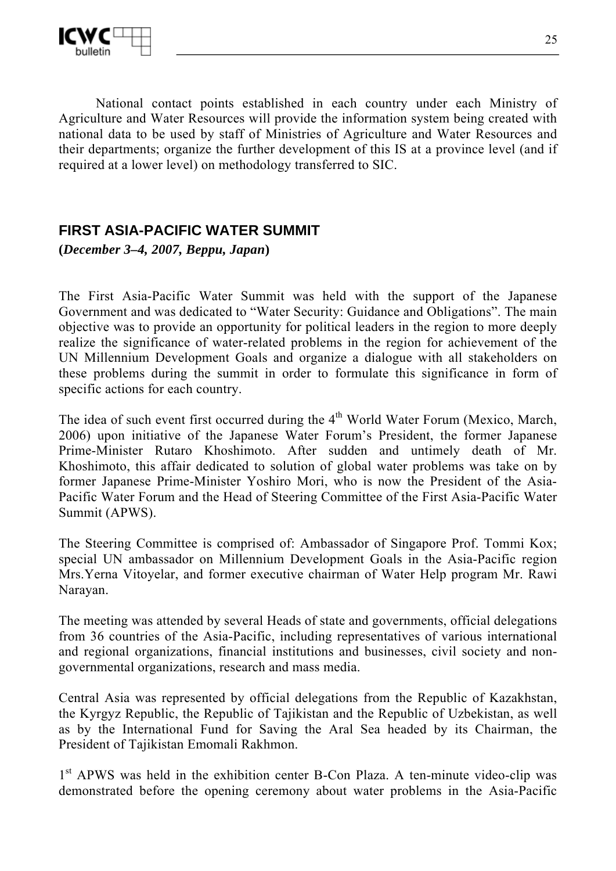

National contact points established in each country under each Ministry of Agriculture and Water Resources will provide the information system being created with national data to be used by staff of Ministries of Agriculture and Water Resources and their departments; organize the further development of this IS at a province level (and if required at a lower level) on methodology transferred to SIC.

## **FIRST ASIA-PACIFIC WATER SUMMIT**

**(***December 3–4, 2007, Beppu, Japan***)** 

The First Asia-Pacific Water Summit was held with the support of the Japanese Government and was dedicated to "Water Security: Guidance and Obligations". The main objective was to provide an opportunity for political leaders in the region to more deeply realize the significance of water-related problems in the region for achievement of the UN Millennium Development Goals and organize a dialogue with all stakeholders on these problems during the summit in order to formulate this significance in form of specific actions for each country.

The idea of such event first occurred during the 4<sup>th</sup> World Water Forum (Mexico, March, 2006) upon initiative of the Japanese Water Forum's President, the former Japanese Prime-Minister Rutaro Khoshimoto. After sudden and untimely death of Mr. Khoshimoto, this affair dedicated to solution of global water problems was take on by former Japanese Prime-Minister Yoshiro Mori, who is now the President of the Asia-Pacific Water Forum and the Head of Steering Committee of the First Asia-Pacific Water Summit (APWS).

The Steering Committee is comprised of: Ambassador of Singapore Prof. Tommi Kox; special UN ambassador on Millennium Development Goals in the Asia-Pacific region Mrs.Yerna Vitoyelar, and former executive chairman of Water Help program Mr. Rawi Narayan.

The meeting was attended by several Heads of state and governments, official delegations from 36 countries of the Asia-Pacific, including representatives of various international and regional organizations, financial institutions and businesses, civil society and nongovernmental organizations, research and mass media.

Central Asia was represented by official delegations from the Republic of Kazakhstan, the Kyrgyz Republic, the Republic of Tajikistan and the Republic of Uzbekistan, as well as by the International Fund for Saving the Aral Sea headed by its Chairman, the President of Tajikistan Emomali Rakhmon.

1<sup>st</sup> APWS was held in the exhibition center B-Con Plaza. A ten-minute video-clip was demonstrated before the opening ceremony about water problems in the Asia-Pacific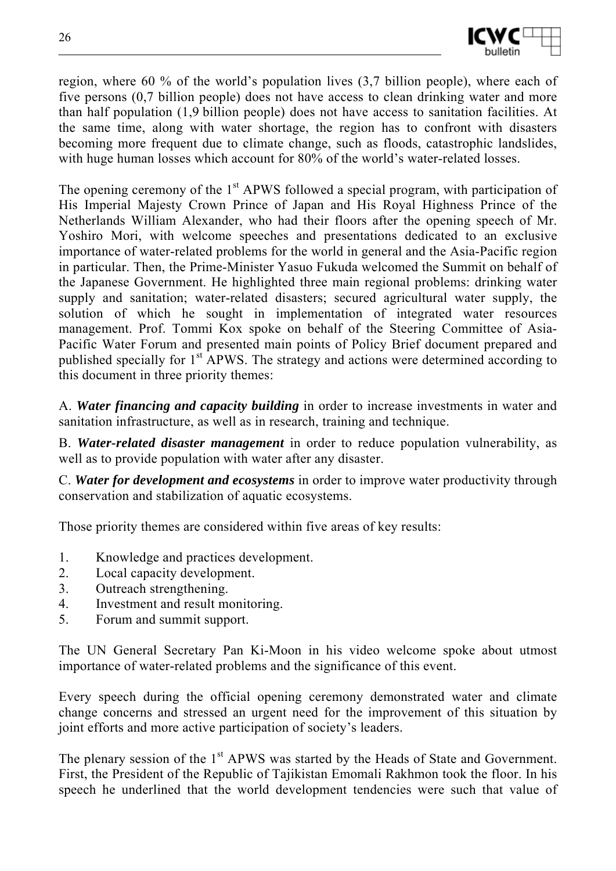

region, where 60 % of the world's population lives (3,7 billion people), where each of five persons (0,7 billion people) does not have access to clean drinking water and more than half population (1,9 billion people) does not have access to sanitation facilities. At the same time, along with water shortage, the region has to confront with disasters becoming more frequent due to climate change, such as floods, catastrophic landslides, with huge human losses which account for 80% of the world's water-related losses.

The opening ceremony of the 1<sup>st</sup> APWS followed a special program, with participation of His Imperial Majesty Crown Prince of Japan and His Royal Highness Prince of the Netherlands William Alexander, who had their floors after the opening speech of Mr. Yoshiro Mori, with welcome speeches and presentations dedicated to an exclusive importance of water-related problems for the world in general and the Asia-Pacific region in particular. Then, the Prime-Minister Yasuo Fukuda welcomed the Summit on behalf of the Japanese Government. He highlighted three main regional problems: drinking water supply and sanitation; water-related disasters; secured agricultural water supply, the solution of which he sought in implementation of integrated water resources management. Prof. Tommi Kox spoke on behalf of the Steering Committee of Asia-Pacific Water Forum and presented main points of Policy Brief document prepared and published specially for 1<sup>st</sup> APWS. The strategy and actions were determined according to this document in three priority themes:

A. *Water financing and capacity building* in order to increase investments in water and sanitation infrastructure, as well as in research, training and technique.

B. *Water-related disaster management* in order to reduce population vulnerability, as well as to provide population with water after any disaster.

C. *Water for development and ecosystems* in order to improve water productivity through conservation and stabilization of aquatic ecosystems.

Those priority themes are considered within five areas of key results:

- 1. Knowledge and practices development.
- 2. Local capacity development.
- 3. Outreach strengthening.
- 4. Investment and result monitoring.
- 5. Forum and summit support.

The UN General Secretary Pan Ki-Moon in his video welcome spoke about utmost importance of water-related problems and the significance of this event.

Every speech during the official opening ceremony demonstrated water and climate change concerns and stressed an urgent need for the improvement of this situation by joint efforts and more active participation of society's leaders.

The plenary session of the 1<sup>st</sup> APWS was started by the Heads of State and Government. First, the President of the Republic of Tajikistan Emomali Rakhmon took the floor. In his speech he underlined that the world development tendencies were such that value of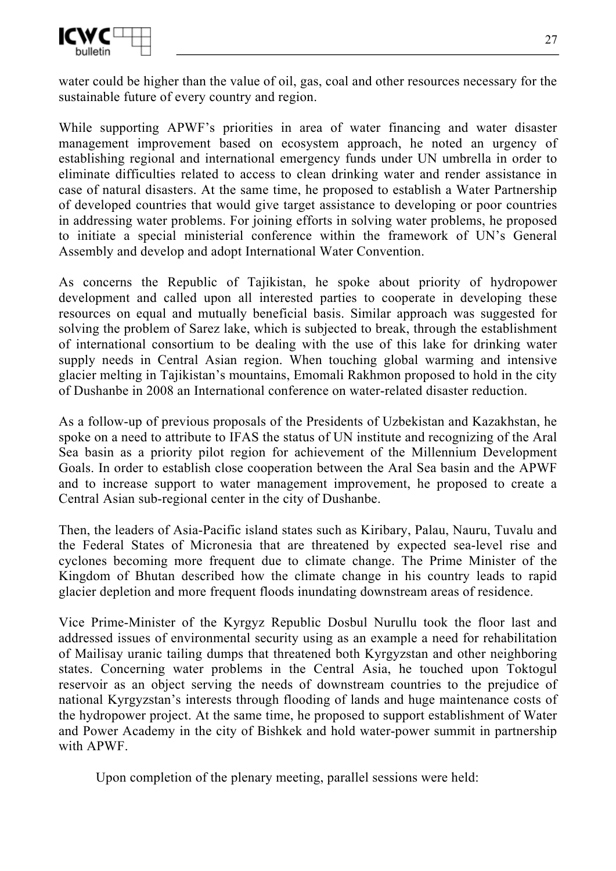

water could be higher than the value of oil, gas, coal and other resources necessary for the sustainable future of every country and region.

While supporting APWF's priorities in area of water financing and water disaster management improvement based on ecosystem approach, he noted an urgency of establishing regional and international emergency funds under UN umbrella in order to eliminate difficulties related to access to clean drinking water and render assistance in case of natural disasters. At the same time, he proposed to establish a Water Partnership of developed countries that would give target assistance to developing or poor countries in addressing water problems. For joining efforts in solving water problems, he proposed to initiate a special ministerial conference within the framework of UN's General Assembly and develop and adopt International Water Convention.

As concerns the Republic of Tajikistan, he spoke about priority of hydropower development and called upon all interested parties to cooperate in developing these resources on equal and mutually beneficial basis. Similar approach was suggested for solving the problem of Sarez lake, which is subjected to break, through the establishment of international consortium to be dealing with the use of this lake for drinking water supply needs in Central Asian region. When touching global warming and intensive glacier melting in Tajikistan's mountains, Emomali Rakhmon proposed to hold in the city of Dushanbe in 2008 an International conference on water-related disaster reduction.

As a follow-up of previous proposals of the Presidents of Uzbekistan and Kazakhstan, he spoke on a need to attribute to IFAS the status of UN institute and recognizing of the Aral Sea basin as a priority pilot region for achievement of the Millennium Development Goals. In order to establish close cooperation between the Aral Sea basin and the APWF and to increase support to water management improvement, he proposed to create a Central Asian sub-regional center in the city of Dushanbe.

Then, the leaders of Asia-Pacific island states such as Kiribary, Palau, Nauru, Tuvalu and the Federal States of Micronesia that are threatened by expected sea-level rise and cyclones becoming more frequent due to climate change. The Prime Minister of the Kingdom of Bhutan described how the climate change in his country leads to rapid glacier depletion and more frequent floods inundating downstream areas of residence.

Vice Prime-Minister of the Kyrgyz Republic Dosbul Nurullu took the floor last and addressed issues of environmental security using as an example a need for rehabilitation of Mailisay uranic tailing dumps that threatened both Kyrgyzstan and other neighboring states. Concerning water problems in the Central Asia, he touched upon Toktogul reservoir as an object serving the needs of downstream countries to the prejudice of national Kyrgyzstan's interests through flooding of lands and huge maintenance costs of the hydropower project. At the same time, he proposed to support establishment of Water and Power Academy in the city of Bishkek and hold water-power summit in partnership with APWF.

Upon completion of the plenary meeting, parallel sessions were held: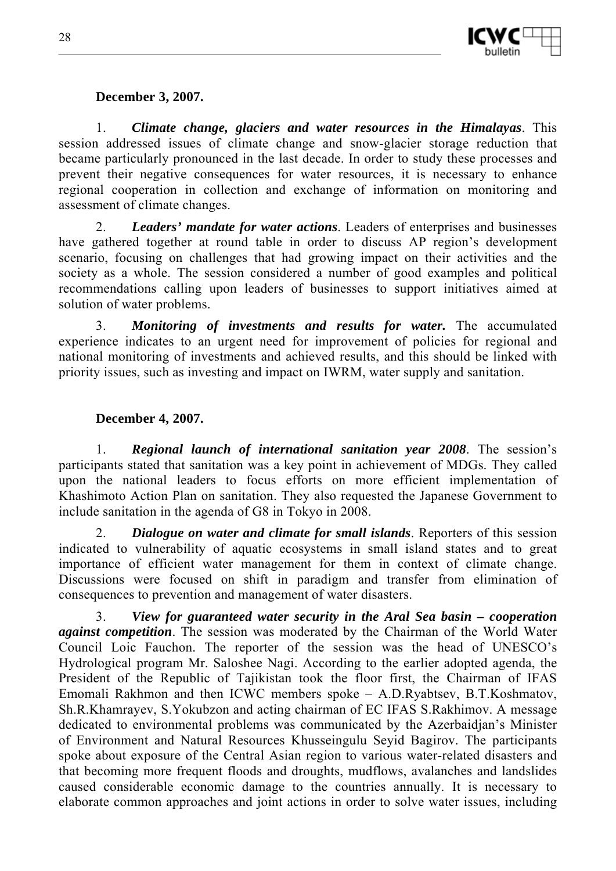

#### **December 3, 2007.**

1. *Climate change, glaciers and water resources in the Himalayas*. This session addressed issues of climate change and snow-glacier storage reduction that became particularly pronounced in the last decade. In order to study these processes and prevent their negative consequences for water resources, it is necessary to enhance regional cooperation in collection and exchange of information on monitoring and assessment of climate changes.

2. *Leaders' mandate for water actions*. Leaders of enterprises and businesses have gathered together at round table in order to discuss AP region's development scenario, focusing on challenges that had growing impact on their activities and the society as a whole. The session considered a number of good examples and political recommendations calling upon leaders of businesses to support initiatives aimed at solution of water problems.

3. *Monitoring of investments and results for water.* The accumulated experience indicates to an urgent need for improvement of policies for regional and national monitoring of investments and achieved results, and this should be linked with priority issues, such as investing and impact on IWRM, water supply and sanitation.

## **December 4, 2007.**

1. *Regional launch of international sanitation year 2008*. The session's participants stated that sanitation was a key point in achievement of MDGs. They called upon the national leaders to focus efforts on more efficient implementation of Khashimoto Action Plan on sanitation. They also requested the Japanese Government to include sanitation in the agenda of G8 in Tokyo in 2008.

2. *Dialogue on water and climate for small islands*. Reporters of this session indicated to vulnerability of aquatic ecosystems in small island states and to great importance of efficient water management for them in context of climate change. Discussions were focused on shift in paradigm and transfer from elimination of consequences to prevention and management of water disasters.

3. *View for guaranteed water security in the Aral Sea basin – cooperation against competition*. The session was moderated by the Chairman of the World Water Council Loic Fauchon. The reporter of the session was the head of UNESCO's Hydrological program Mr. Saloshee Nagi. According to the earlier adopted agenda, the President of the Republic of Tajikistan took the floor first, the Chairman of IFAS Emomali Rakhmon and then ICWC members spoke – A.D.Ryabtsev, B.T.Koshmatov, Sh.R.Khamrayev, S.Yokubzon and acting chairman of EC IFAS S.Rakhimov. A message dedicated to environmental problems was communicated by the Azerbaidjan's Minister of Environment and Natural Resources Khusseingulu Seyid Bagirov. The participants spoke about exposure of the Central Asian region to various water-related disasters and that becoming more frequent floods and droughts, mudflows, avalanches and landslides caused considerable economic damage to the countries annually. It is necessary to elaborate common approaches and joint actions in order to solve water issues, including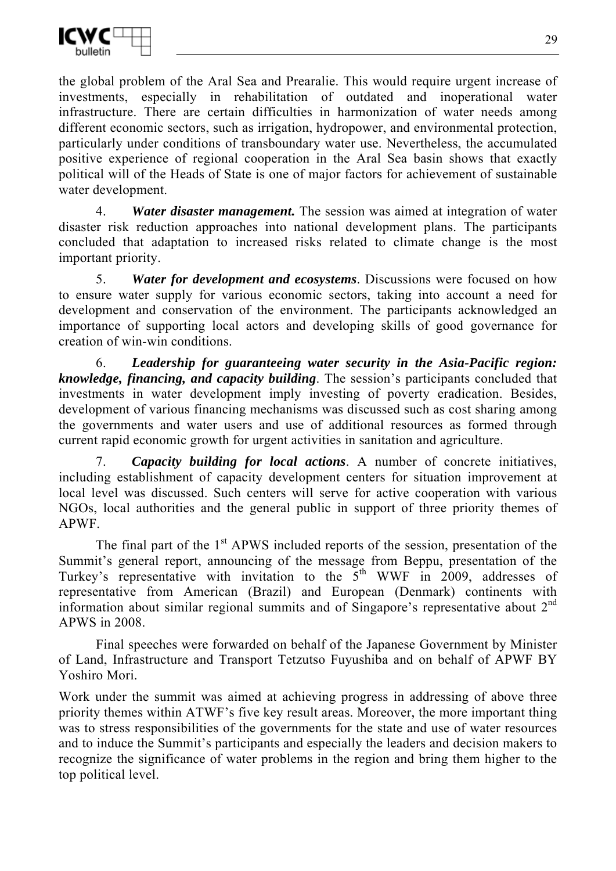

the global problem of the Aral Sea and Prearalie. This would require urgent increase of investments, especially in rehabilitation of outdated and inoperational water infrastructure. There are certain difficulties in harmonization of water needs among different economic sectors, such as irrigation, hydropower, and environmental protection, particularly under conditions of transboundary water use. Nevertheless, the accumulated positive experience of regional cooperation in the Aral Sea basin shows that exactly political will of the Heads of State is one of major factors for achievement of sustainable water development.

4. *Water disaster management.* The session was aimed at integration of water disaster risk reduction approaches into national development plans. The participants concluded that adaptation to increased risks related to climate change is the most important priority.

5. *Water for development and ecosystems*. Discussions were focused on how to ensure water supply for various economic sectors, taking into account a need for development and conservation of the environment. The participants acknowledged an importance of supporting local actors and developing skills of good governance for creation of win-win conditions.

6. *Leadership for guaranteeing water security in the Asia-Pacific region: knowledge, financing, and capacity building*. The session's participants concluded that investments in water development imply investing of poverty eradication. Besides, development of various financing mechanisms was discussed such as cost sharing among the governments and water users and use of additional resources as formed through current rapid economic growth for urgent activities in sanitation and agriculture.

7. *Capacity building for local actions*. A number of concrete initiatives, including establishment of capacity development centers for situation improvement at local level was discussed. Such centers will serve for active cooperation with various NGOs, local authorities and the general public in support of three priority themes of APWF.

The final part of the  $1<sup>st</sup>$  APWS included reports of the session, presentation of the Summit's general report, announcing of the message from Beppu, presentation of the Turkey's representative with invitation to the  $5<sup>th</sup>$  WWF in 2009, addresses of representative from American (Brazil) and European (Denmark) continents with information about similar regional summits and of Singapore's representative about  $2<sup>nd</sup>$ APWS in 2008.

Final speeches were forwarded on behalf of the Japanese Government by Minister of Land, Infrastructure and Transport Tetzutso Fuyushiba and on behalf of APWF BY Yoshiro Mori.

Work under the summit was aimed at achieving progress in addressing of above three priority themes within ATWF's five key result areas. Moreover, the more important thing was to stress responsibilities of the governments for the state and use of water resources and to induce the Summit's participants and especially the leaders and decision makers to recognize the significance of water problems in the region and bring them higher to the top political level.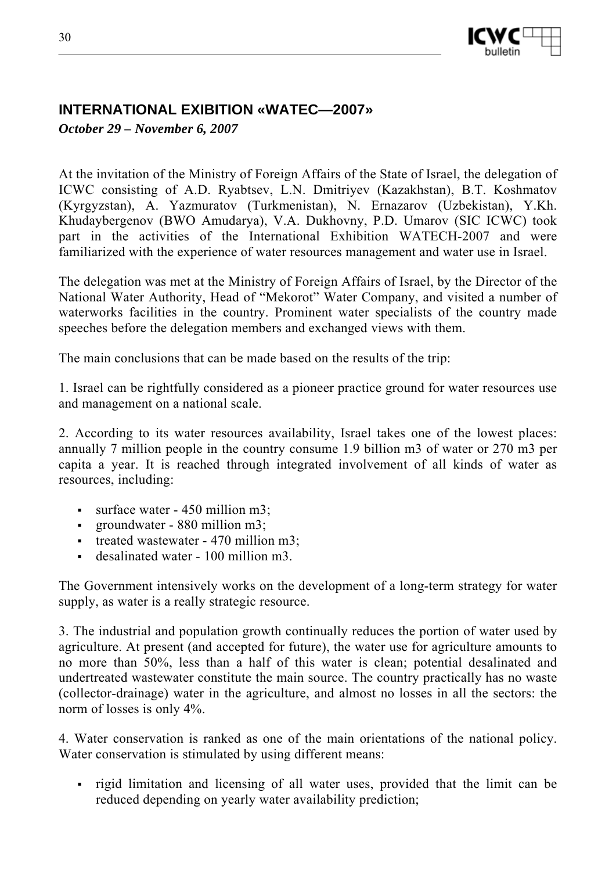

## **INTERNATIONAL EXIBITION «WATEC—2007»**

*October 29 – November 6, 2007* 

At the invitation of the Ministry of Foreign Affairs of the State of Israel, the delegation of ICWC consisting of A.D. Ryabtsev, L.N. Dmitriyev (Kazakhstan), B.T. Koshmatov (Kyrgyzstan), A. Yazmuratov (Turkmenistan), N. Ernazarov (Uzbekistan), Y.Kh. Khudaybergenov (BWO Amudarya), V.A. Dukhovny, P.D. Umarov (SIC ICWC) took part in the activities of the International Exhibition WATECH-2007 and were familiarized with the experience of water resources management and water use in Israel.

The delegation was met at the Ministry of Foreign Affairs of Israel, by the Director of the National Water Authority, Head of "Mekorot" Water Company, and visited a number of waterworks facilities in the country. Prominent water specialists of the country made speeches before the delegation members and exchanged views with them.

The main conclusions that can be made based on the results of the trip:

1. Israel can be rightfully considered as a pioneer practice ground for water resources use and management on a national scale.

2. According to its water resources availability, Israel takes one of the lowest places: annually 7 million people in the country consume 1.9 billion m3 of water or 270 m3 per capita a year. It is reached through integrated involvement of all kinds of water as resources, including:

- $\blacksquare$  surface water 450 million m3;
- groundwater 880 million m3;
- treated wastewater 470 million m3;
- desalinated water 100 million m3.

The Government intensively works on the development of a long-term strategy for water supply, as water is a really strategic resource.

3. The industrial and population growth continually reduces the portion of water used by agriculture. At present (and accepted for future), the water use for agriculture amounts to no more than 50%, less than a half of this water is clean; potential desalinated and undertreated wastewater constitute the main source. The country practically has no waste (collector-drainage) water in the agriculture, and almost no losses in all the sectors: the norm of losses is only 4%.

4. Water conservation is ranked as one of the main orientations of the national policy. Water conservation is stimulated by using different means:

 rigid limitation and licensing of all water uses, provided that the limit can be reduced depending on yearly water availability prediction;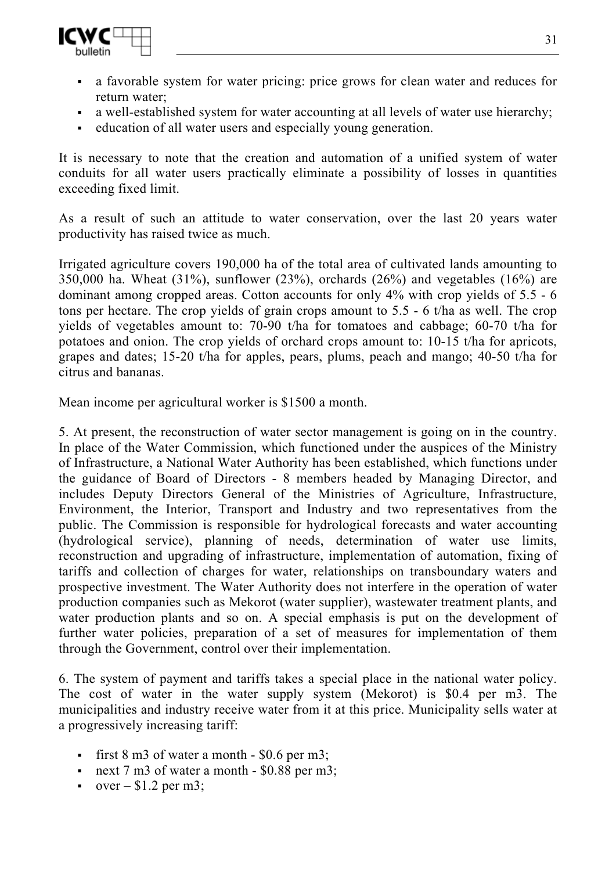

- a favorable system for water pricing: price grows for clean water and reduces for return water;
- a well-established system for water accounting at all levels of water use hierarchy;
- education of all water users and especially young generation.

It is necessary to note that the creation and automation of a unified system of water conduits for all water users practically eliminate a possibility of losses in quantities exceeding fixed limit.

As a result of such an attitude to water conservation, over the last 20 years water productivity has raised twice as much.

Irrigated agriculture covers 190,000 ha of the total area of cultivated lands amounting to 350,000 ha. Wheat  $(31\%)$ , sunflower  $(23\%)$ , orchards  $(26\%)$  and vegetables  $(16\%)$  are dominant among cropped areas. Cotton accounts for only 4% with crop yields of 5.5 - 6 tons per hectare. The crop yields of grain crops amount to 5.5 - 6 t/ha as well. The crop yields of vegetables amount to: 70-90 t/ha for tomatoes and cabbage; 60-70 t/ha for potatoes and onion. The crop yields of orchard crops amount to: 10-15 t/ha for apricots, grapes and dates; 15-20 t/ha for apples, pears, plums, peach and mango; 40-50 t/ha for citrus and bananas.

Mean income per agricultural worker is \$1500 a month.

5. At present, the reconstruction of water sector management is going on in the country. In place of the Water Commission, which functioned under the auspices of the Ministry of Infrastructure, a National Water Authority has been established, which functions under the guidance of Board of Directors - 8 members headed by Managing Director, and includes Deputy Directors General of the Ministries of Agriculture, Infrastructure, Environment, the Interior, Transport and Industry and two representatives from the public. The Commission is responsible for hydrological forecasts and water accounting (hydrological service), planning of needs, determination of water use limits, reconstruction and upgrading of infrastructure, implementation of automation, fixing of tariffs and collection of charges for water, relationships on transboundary waters and prospective investment. The Water Authority does not interfere in the operation of water production companies such as Mekorot (water supplier), wastewater treatment plants, and water production plants and so on. A special emphasis is put on the development of further water policies, preparation of a set of measures for implementation of them through the Government, control over their implementation.

6. The system of payment and tariffs takes a special place in the national water policy. The cost of water in the water supply system (Mekorot) is \$0.4 per m3. The municipalities and industry receive water from it at this price. Municipality sells water at a progressively increasing tariff:

- first  $8 \text{ m}3$  of water a month  $-$  \$0.6 per m3;
- next  $7 \text{ m}$ 3 of water a month \$0.88 per m3;
- over  $-$  \$1.2 per m3;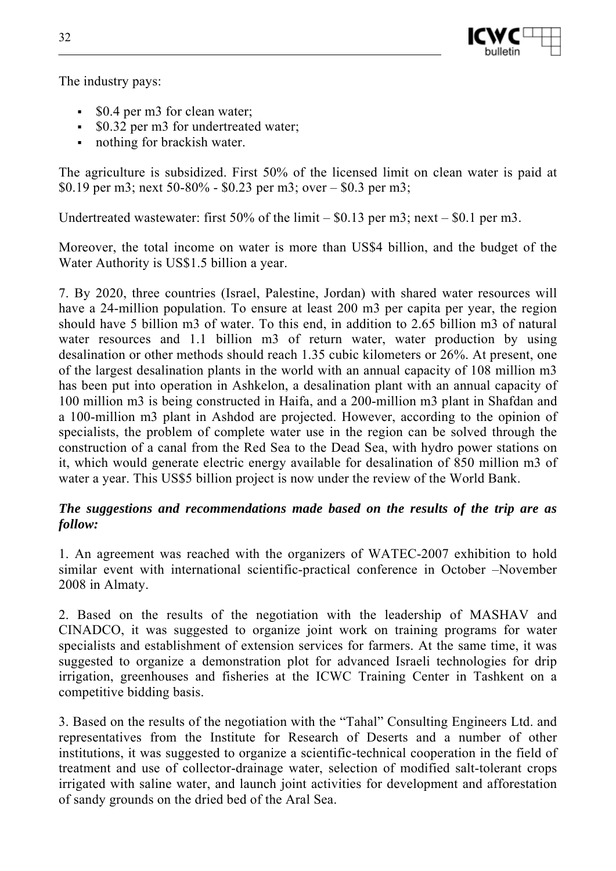

The industry pays:

- \$0.4 per m3 for clean water;
- **•** \$0.32 per m3 for undertreated water;
- nothing for brackish water.

The agriculture is subsidized. First 50% of the licensed limit on clean water is paid at \$0.19 per m3; next 50-80% - \$0.23 per m3; over – \$0.3 per m3;

Undertreated wastewater: first 50% of the limit – \$0.13 per m3; next – \$0.1 per m3.

Moreover, the total income on water is more than US\$4 billion, and the budget of the Water Authority is US\$1.5 billion a year.

7. By 2020, three countries (Israel, Palestine, Jordan) with shared water resources will have a 24-million population. To ensure at least 200 m3 per capita per year, the region should have 5 billion m3 of water. To this end, in addition to 2.65 billion m3 of natural water resources and 1.1 billion m3 of return water, water production by using desalination or other methods should reach 1.35 cubic kilometers or 26%. At present, one of the largest desalination plants in the world with an annual capacity of 108 million m3 has been put into operation in Ashkelon, a desalination plant with an annual capacity of 100 million m3 is being constructed in Haifa, and a 200-million m3 plant in Shafdan and a 100-million m3 plant in Ashdod are projected. However, according to the opinion of specialists, the problem of complete water use in the region can be solved through the construction of a canal from the Red Sea to the Dead Sea, with hydro power stations on it, which would generate electric energy available for desalination of 850 million m3 of water a year. This US\$5 billion project is now under the review of the World Bank.

#### *The suggestions and recommendations made based on the results of the trip are as follow:*

1. An agreement was reached with the organizers of WATEC-2007 exhibition to hold similar event with international scientific-practical conference in October –November 2008 in Almaty.

2. Based on the results of the negotiation with the leadership of MASHAV and CINADCO, it was suggested to organize joint work on training programs for water specialists and establishment of extension services for farmers. At the same time, it was suggested to organize a demonstration plot for advanced Israeli technologies for drip irrigation, greenhouses and fisheries at the ICWC Training Center in Tashkent on a competitive bidding basis.

3. Based on the results of the negotiation with the "Tahal" Consulting Engineers Ltd. and representatives from the Institute for Research of Deserts and a number of other institutions, it was suggested to organize a scientific-technical cooperation in the field of treatment and use of collector-drainage water, selection of modified salt-tolerant crops irrigated with saline water, and launch joint activities for development and afforestation of sandy grounds on the dried bed of the Aral Sea.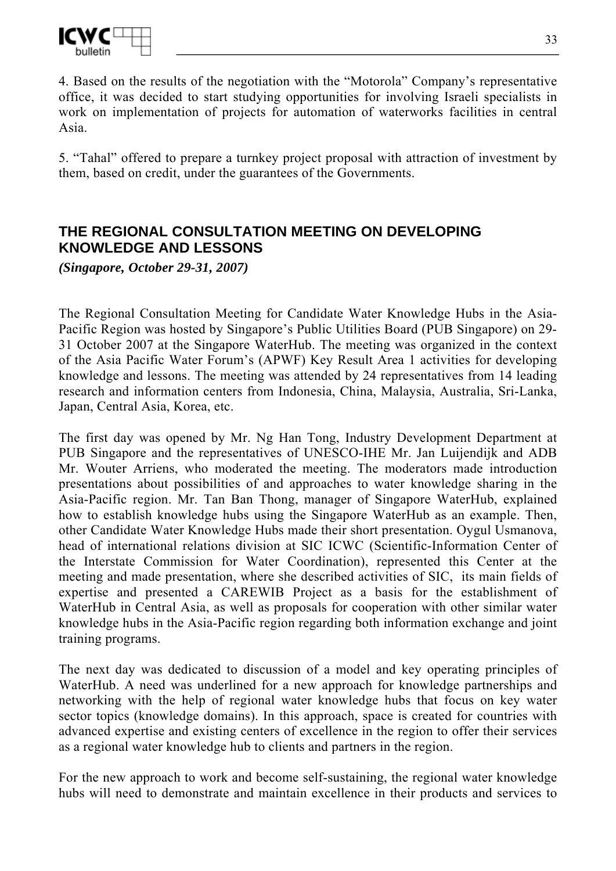

4. Based on the results of the negotiation with the "Motorola" Company's representative office, it was decided to start studying opportunities for involving Israeli specialists in work on implementation of projects for automation of waterworks facilities in central Asia.

5. "Tahal" offered to prepare a turnkey project proposal with attraction of investment by them, based on credit, under the guarantees of the Governments.

## **THE REGIONAL CONSULTATION MEETING ON DEVELOPING KNOWLEDGE AND LESSONS**

*(Singapore, October 29-31, 2007)* 

The Regional Consultation Meeting for Candidate Water Knowledge Hubs in the Asia-Pacific Region was hosted by Singapore's Public Utilities Board (PUB Singapore) on 29- 31 October 2007 at the Singapore WaterHub. The meeting was organized in the context of the Asia Pacific Water Forum's (APWF) Key Result Area 1 activities for developing knowledge and lessons. The meeting was attended by 24 representatives from 14 leading research and information centers from Indonesia, China, Malaysia, Australia, Sri-Lanka, Japan, Central Asia, Korea, etc.

The first day was opened by Mr. Ng Han Tong, Industry Development Department at PUB Singapore and the representatives of UNESCO-IHE Mr. Jan Luijendijk and ADB Mr. Wouter Arriens, who moderated the meeting. The moderators made introduction presentations about possibilities of and approaches to water knowledge sharing in the Asia-Pacific region. Mr. Tan Ban Thong, manager of Singapore WaterHub, explained how to establish knowledge hubs using the Singapore WaterHub as an example. Then, other Candidate Water Knowledge Hubs made their short presentation. Oygul Usmanova, head of international relations division at SIC ICWC (Scientific-Information Center of the Interstate Commission for Water Coordination), represented this Center at the meeting and made presentation, where she described activities of SIC, its main fields of expertise and presented a CAREWIB Project as a basis for the establishment of WaterHub in Central Asia, as well as proposals for cooperation with other similar water knowledge hubs in the Asia-Pacific region regarding both information exchange and joint training programs.

The next day was dedicated to discussion of a model and key operating principles of WaterHub. A need was underlined for a new approach for knowledge partnerships and networking with the help of regional water knowledge hubs that focus on key water sector topics (knowledge domains). In this approach, space is created for countries with advanced expertise and existing centers of excellence in the region to offer their services as a regional water knowledge hub to clients and partners in the region.

For the new approach to work and become self-sustaining, the regional water knowledge hubs will need to demonstrate and maintain excellence in their products and services to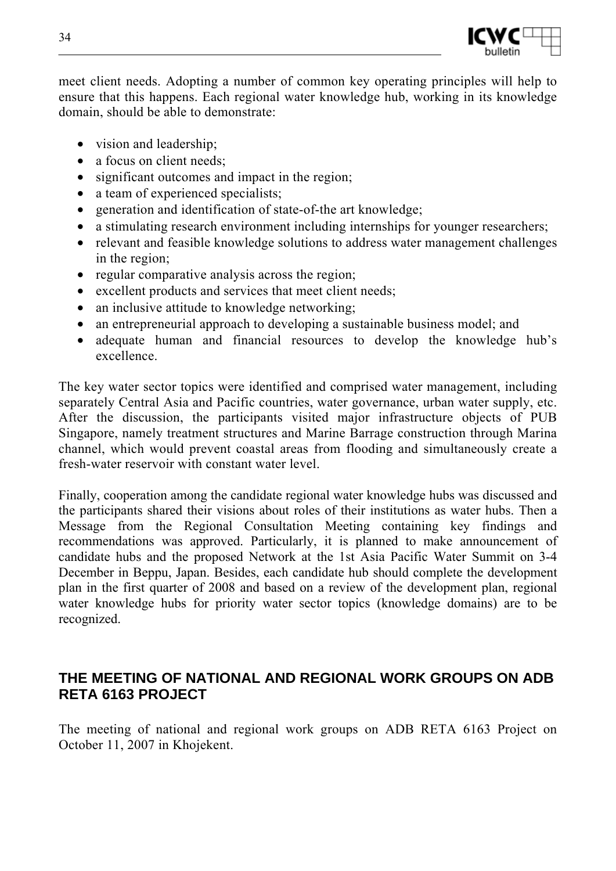

meet client needs. Adopting a number of common key operating principles will help to ensure that this happens. Each regional water knowledge hub, working in its knowledge domain, should be able to demonstrate:

- vision and leadership;
- a focus on client needs;
- significant outcomes and impact in the region;
- a team of experienced specialists;
- generation and identification of state-of-the art knowledge;
- a stimulating research environment including internships for younger researchers;
- relevant and feasible knowledge solutions to address water management challenges in the region;
- regular comparative analysis across the region;
- excellent products and services that meet client needs;
- an inclusive attitude to knowledge networking;
- an entrepreneurial approach to developing a sustainable business model; and
- adequate human and financial resources to develop the knowledge hub's excellence.

The key water sector topics were identified and comprised water management, including separately Central Asia and Pacific countries, water governance, urban water supply, etc. After the discussion, the participants visited major infrastructure objects of PUB Singapore, namely treatment structures and Marine Barrage construction through Marina channel, which would prevent coastal areas from flooding and simultaneously create a fresh-water reservoir with constant water level.

Finally, cooperation among the candidate regional water knowledge hubs was discussed and the participants shared their visions about roles of their institutions as water hubs. Then a Message from the Regional Consultation Meeting containing key findings and recommendations was approved. Particularly, it is planned to make announcement of candidate hubs and the proposed Network at the 1st Asia Pacific Water Summit on 3-4 December in Beppu, Japan. Besides, each candidate hub should complete the development plan in the first quarter of 2008 and based on a review of the development plan, regional water knowledge hubs for priority water sector topics (knowledge domains) are to be recognized.

## **THE MEETING OF NATIONAL AND REGIONAL WORK GROUPS ON ADB RETA 6163 PROJECT**

The meeting of national and regional work groups on ADB RETA 6163 Project on October 11, 2007 in Khojekent.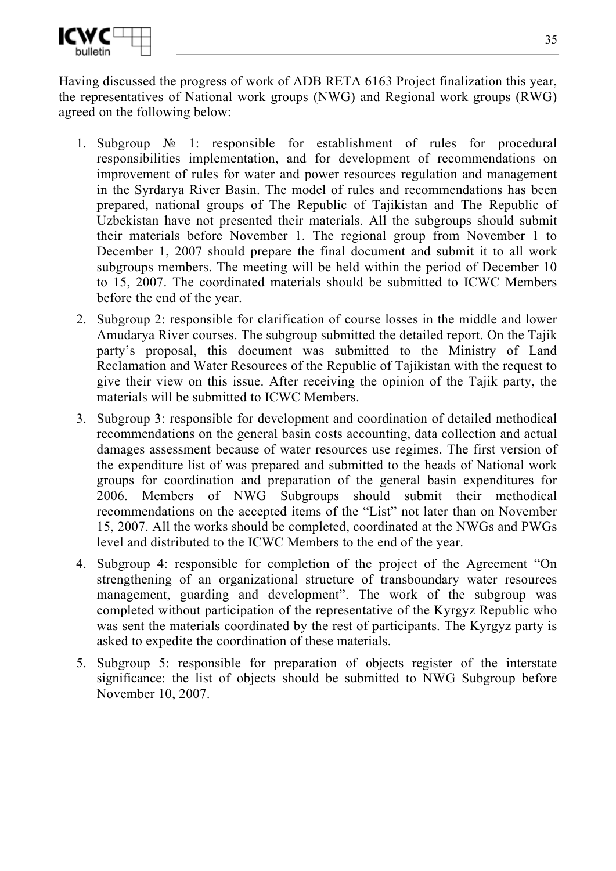

Having discussed the progress of work of ADB RETA 6163 Project finalization this year, the representatives of National work groups (NWG) and Regional work groups (RWG) agreed on the following below:

- 1. Subgroup № 1: responsible for establishment of rules for procedural responsibilities implementation, and for development of recommendations on improvement of rules for water and power resources regulation and management in the Syrdarya River Basin. The model of rules and recommendations has been prepared, national groups of The Republic of Tajikistan and The Republic of Uzbekistan have not presented their materials. All the subgroups should submit their materials before November 1. The regional group from November 1 to December 1, 2007 should prepare the final document and submit it to all work subgroups members. The meeting will be held within the period of December 10 to 15, 2007. The coordinated materials should be submitted to ICWC Members before the end of the year.
- 2. Subgroup 2: responsible for clarification of course losses in the middle and lower Amudarya River courses. The subgroup submitted the detailed report. On the Tajik party's proposal, this document was submitted to the Ministry of Land Reclamation and Water Resources of the Republic of Tajikistan with the request to give their view on this issue. After receiving the opinion of the Tajik party, the materials will be submitted to ICWC Members.
- 3. Subgroup 3: responsible for development and coordination of detailed methodical recommendations on the general basin costs accounting, data collection and actual damages assessment because of water resources use regimes. The first version of the expenditure list of was prepared and submitted to the heads of National work groups for coordination and preparation of the general basin expenditures for 2006. Members of NWG Subgroups should submit their methodical recommendations on the accepted items of the "List" not later than on November 15, 2007. All the works should be completed, coordinated at the NWGs and PWGs level and distributed to the ICWC Members to the end of the year.
- 4. Subgroup 4: responsible for completion of the project of the Agreement "On strengthening of an organizational structure of transboundary water resources management, guarding and development". The work of the subgroup was completed without participation of the representative of the Kyrgyz Republic who was sent the materials coordinated by the rest of participants. The Kyrgyz party is asked to expedite the coordination of these materials.
- 5. Subgroup 5: responsible for preparation of objects register of the interstate significance: the list of objects should be submitted to NWG Subgroup before November 10, 2007.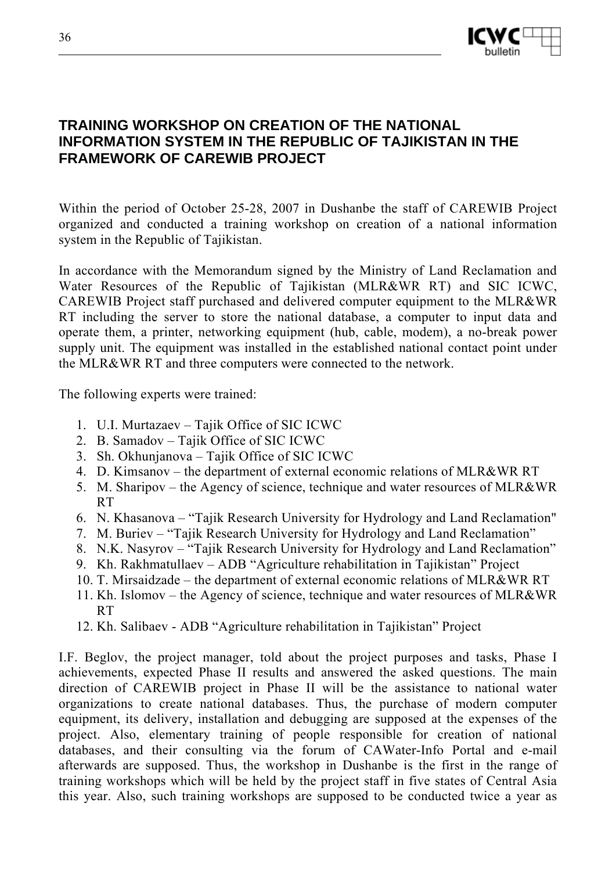

## **TRAINING WORKSHOP ON CREATION OF THE NATIONAL INFORMATION SYSTEM IN THE REPUBLIC OF TAJIKISTAN IN THE FRAMEWORK OF CAREWIB PROJECT**

Within the period of October 25-28, 2007 in Dushanbe the staff of CAREWIB Project organized and conducted a training workshop on creation of a national information system in the Republic of Tajikistan.

In accordance with the Memorandum signed by the Ministry of Land Reclamation and Water Resources of the Republic of Tajikistan (MLR&WR RT) and SIC ICWC, CAREWIB Project staff purchased and delivered computer equipment to the MLR&WR RT including the server to store the national database, a computer to input data and operate them, a printer, networking equipment (hub, cable, modem), a no-break power supply unit. The equipment was installed in the established national contact point under the MLR&WR RT and three computers were connected to the network.

The following experts were trained:

- 1. U.I. Murtazaev Tajik Office of SIC ICWC
- 2. B. Samadov Tajik Office of SIC ICWC
- 3. Sh. Okhunjanova Tajik Office of SIC ICWC
- 4. D. Kimsanov the department of external economic relations of MLR&WR RT
- 5. M. Sharipov the Agency of science, technique and water resources of MLR&WR RT
- 6. N. Khasanova "Tajik Research University for Hydrology and Land Reclamation"
- 7. M. Buriev "Tajik Research University for Hydrology and Land Reclamation"
- 8. N.K. Nasyrov "Tajik Research University for Hydrology and Land Reclamation"
- 9. Kh. Rakhmatullaev ADB "Agriculture rehabilitation in Tajikistan" Project
- 10. T. Mirsaidzade the department of external economic relations of MLR&WR RT
- 11. Kh. Islomov the Agency of science, technique and water resources of MLR&WR RT
- 12. Kh. Salibaev ADB "Agriculture rehabilitation in Tajikistan" Project

I.F. Beglov, the project manager, told about the project purposes and tasks, Phase I achievements, expected Phase II results and answered the asked questions. The main direction of CAREWIB project in Phase II will be the assistance to national water organizations to create national databases. Thus, the purchase of modern computer equipment, its delivery, installation and debugging are supposed at the expenses of the project. Also, elementary training of people responsible for creation of national databases, and their consulting via the forum of CAWater-Info Portal and e-mail afterwards are supposed. Thus, the workshop in Dushanbe is the first in the range of training workshops which will be held by the project staff in five states of Central Asia this year. Also, such training workshops are supposed to be conducted twice a year as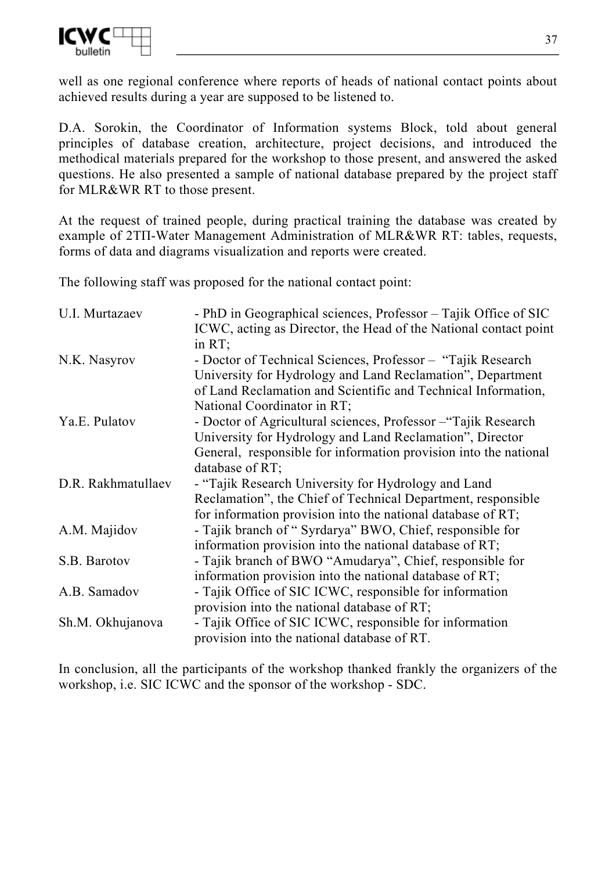

well as one regional conference where reports of heads of national contact points about achieved results during a year are supposed to be listened to.

D.A. Sorokin, the Coordinator of Information systems Block, told about general principles of database creation, architecture, project decisions, and introduced the methodical materials prepared for the workshop to those present, and answered the asked questions. He also presented a sample of national database prepared by the project staff for MLR&WR RT to those present.

At the request of trained people, during practical training the database was created by example of 2TII-Water Management Administration of MLR&WR RT: tables, requests, forms of data and diagrams visualization and reports were created.

The following staff was proposed for the national contact point:

| U.I. Murtazaev     | - PhD in Geographical sciences, Professor – Tajik Office of SIC  |
|--------------------|------------------------------------------------------------------|
|                    | ICWC, acting as Director, the Head of the National contact point |
|                    | in $RT$ ;                                                        |
| N.K. Nasyrov       | - Doctor of Technical Sciences, Professor – "Tajik Research"     |
|                    | University for Hydrology and Land Reclamation", Department       |
|                    | of Land Reclamation and Scientific and Technical Information,    |
|                    | National Coordinator in RT;                                      |
| Ya.E. Pulatov      | - Doctor of Agricultural sciences, Professor – "Tajik Research"  |
|                    | University for Hydrology and Land Reclamation", Director         |
|                    | General, responsible for information provision into the national |
|                    | database of $RT$ ;                                               |
| D.R. Rakhmatullaev | - "Tajik Research University for Hydrology and Land              |
|                    | Reclamation", the Chief of Technical Department, responsible     |
|                    | for information provision into the national database of RT;      |
| A.M. Majidov       | - Tajik branch of "Syrdarya" BWO, Chief, responsible for         |
|                    | information provision into the national database of RT;          |
| S.B. Barotov       | - Tajik branch of BWO "Amudarya", Chief, responsible for         |
|                    | information provision into the national database of RT;          |
| A.B. Samadov       | - Tajik Office of SIC ICWC, responsible for information          |
|                    | provision into the national database of RT;                      |
| Sh.M. Okhujanova   | - Tajik Office of SIC ICWC, responsible for information          |
|                    | provision into the national database of RT.                      |

In conclusion, all the participants of the workshop thanked frankly the organizers of the workshop, i.e. SIC ICWC and the sponsor of the workshop - SDC.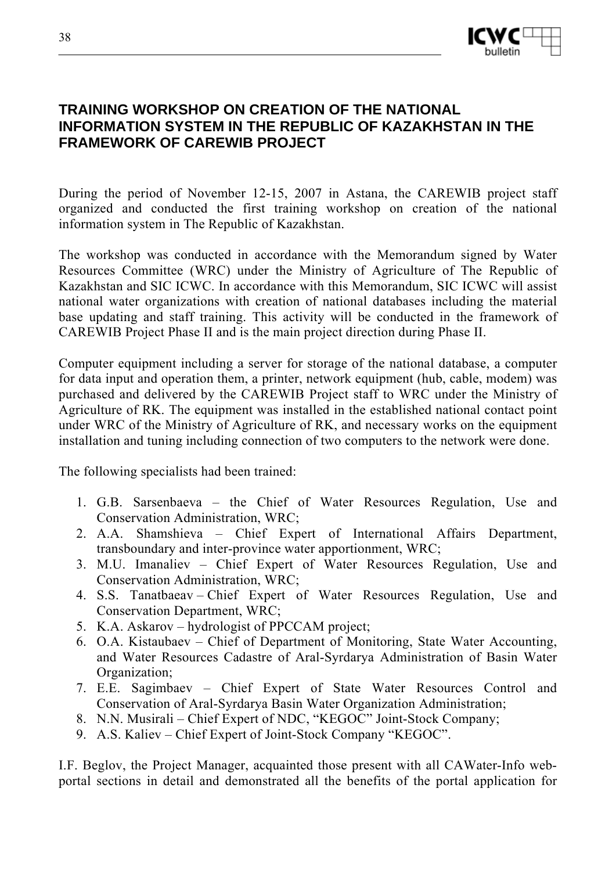

## **TRAINING WORKSHOP ON CREATION OF THE NATIONAL INFORMATION SYSTEM IN THE REPUBLIC OF KAZAKHSTAN IN THE FRAMEWORK OF CAREWIB PROJECT**

During the period of November 12-15, 2007 in Astana, the CAREWIB project staff organized and conducted the first training workshop on creation of the national information system in The Republic of Kazakhstan.

The workshop was conducted in accordance with the Memorandum signed by Water Resources Committee (WRC) under the Ministry of Agriculture of The Republic of Kazakhstan and SIC ICWC. In accordance with this Memorandum, SIC ICWC will assist national water organizations with creation of national databases including the material base updating and staff training. This activity will be conducted in the framework of CAREWIB Project Phase II and is the main project direction during Phase II.

Computer equipment including a server for storage of the national database, a computer for data input and operation them, a printer, network equipment (hub, cable, modem) was purchased and delivered by the CAREWIB Project staff to WRC under the Ministry of Agriculture of RK. The equipment was installed in the established national contact point under WRC of the Ministry of Agriculture of RK, and necessary works on the equipment installation and tuning including connection of two computers to the network were done.

The following specialists had been trained:

- 1. G.B. Sarsenbaeva the Chief of Water Resources Regulation, Use and Conservation Administration, WRC;
- 2. A.A. Shamshieva Chief Expert of International Affairs Department, transboundary and inter-province water apportionment, WRC;
- 3. M.U. Imanaliev Chief Expert of Water Resources Regulation, Use and Conservation Administration, WRC;
- 4. S.S. Tanatbaeav Chief Expert of Water Resources Regulation, Use and Conservation Department, WRC;
- 5. K.A. Askarov hydrologist of РРССАМ project;
- 6. O.A. Kistaubaev Chief of Department of Monitoring, State Water Accounting, and Water Resources Cadastre of Aral-Syrdarya Administration of Basin Water Organization;
- 7. E.E. Sagimbaev Chief Expert of State Water Resources Control and Conservation of Aral-Syrdarya Basin Water Organization Administration;
- 8. N.N. Musirali Chief Expert of NDC, "KEGOC" Joint-Stock Company;
- 9. A.S. Kaliev Chief Expert of Joint-Stock Company "KEGOC".

I.F. Beglov, the Project Manager, acquainted those present with all CAWater-Info webportal sections in detail and demonstrated all the benefits of the portal application for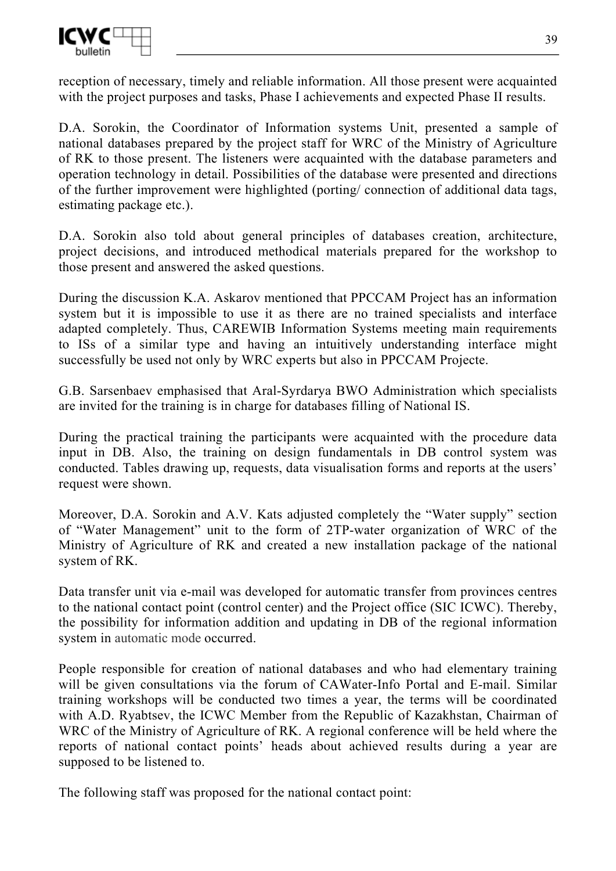

reception of necessary, timely and reliable information. All those present were acquainted with the project purposes and tasks, Phase I achievements and expected Phase II results.

D.A. Sorokin, the Coordinator of Information systems Unit, presented a sample of national databases prepared by the project staff for WRC of the Ministry of Agriculture of RK to those present. The listeners were acquainted with the database parameters and operation technology in detail. Possibilities of the database were presented and directions of the further improvement were highlighted (porting/ connection of additional data tags, estimating package etc.).

D.A. Sorokin also told about general principles of databases creation, architecture, project decisions, and introduced methodical materials prepared for the workshop to those present and answered the asked questions.

During the discussion K.A. Askarov mentioned that РРССАМ Project has an information system but it is impossible to use it as there are no trained specialists and interface adapted completely. Thus, CAREWIB Information Systems meeting main requirements to ISs of a similar type and having an intuitively understanding interface might successfully be used not only by WRC experts but also in РРССАМ Projectе.

G.B. Sarsenbaev emphasised that Aral-Syrdarya BWO Administration which specialists are invited for the training is in charge for databases filling of National IS.

During the practical training the participants were acquainted with the procedure data input in DB. Also, the training on design fundamentals in DB control system was conducted. Tables drawing up, requests, data visualisation forms and reports at the users' request were shown.

Moreover, D.A. Sorokin and A.V. Kats adjusted completely the "Water supply" section of "Water Management" unit to the form of 2ТP-water organization of WRC of the Ministry of Agriculture of RK and created a new installation package of the national system of RK.

Data transfer unit via e-mail was developed for automatic transfer from provinces centres to the national contact point (control center) and the Project office (SIC ICWC). Thereby, the possibility for information addition and updating in DB of the regional information system in automatic mode occurred.

People responsible for creation of national databases and who had elementary training will be given consultations via the forum of CAWater-Info Portal and E-mail. Similar training workshops will be conducted two times a year, the terms will be coordinated with A.D. Ryabtsev, the ICWC Member from the Republic of Kazakhstan, Chairman of WRC of the Ministry of Agriculture of RK. A regional conference will be held where the reports of national contact points' heads about achieved results during a year are supposed to be listened to.

The following staff was proposed for the national contact point: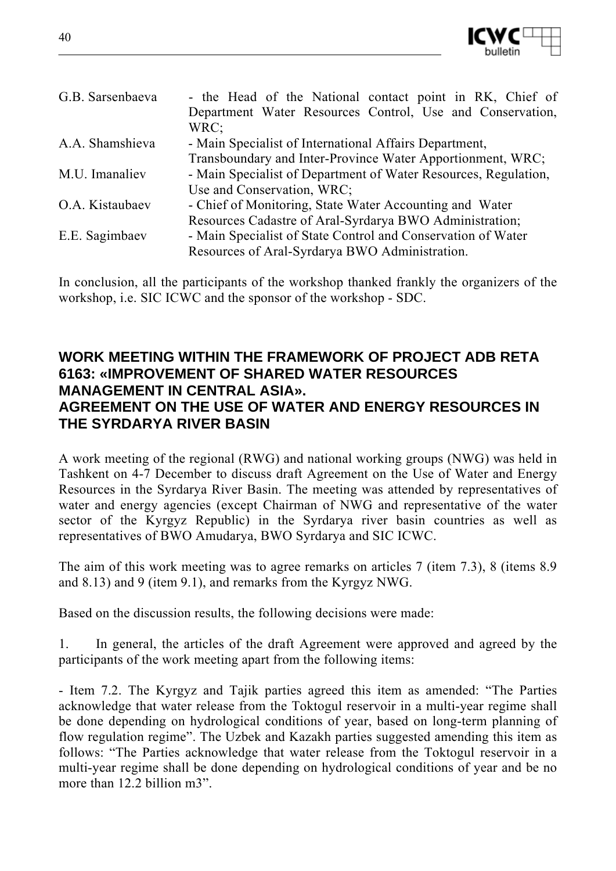

| G.B. Sarsenbaeva | - the Head of the National contact point in RK, Chief of        |
|------------------|-----------------------------------------------------------------|
|                  | Department Water Resources Control, Use and Conservation,       |
|                  | WRC:                                                            |
| A.A. Shamshieva  | - Main Specialist of International Affairs Department,          |
|                  | Transboundary and Inter-Province Water Apportionment, WRC;      |
| M.U. Imanaliev   | - Main Specialist of Department of Water Resources, Regulation, |
|                  | Use and Conservation, WRC;                                      |
| O.A. Kistaubaev  | - Chief of Monitoring, State Water Accounting and Water         |
|                  | Resources Cadastre of Aral-Syrdarya BWO Administration;         |
| E.E. Sagimbaev   | - Main Specialist of State Control and Conservation of Water    |
|                  | Resources of Aral-Syrdarya BWO Administration.                  |

In conclusion, all the participants of the workshop thanked frankly the organizers of the workshop, i.e. SIC ICWC and the sponsor of the workshop - SDC.

## **WORK MEETING WITHIN THE FRAMEWORK OF PROJECT ADB RETA 6163: «IMPROVEMENT OF SHARED WATER RESOURCES MANAGEMENT IN CENTRAL ASIA». AGREEMENT ON THE USE OF WATER AND ENERGY RESOURCES IN THE SYRDARYA RIVER BASIN**

A work meeting of the regional (RWG) and national working groups (NWG) was held in Tashkent on 4-7 December to discuss draft Agreement on the Use of Water and Energy Resources in the Syrdarya River Basin. The meeting was attended by representatives of water and energy agencies (except Chairman of NWG and representative of the water sector of the Kyrgyz Republic) in the Syrdarya river basin countries as well as representatives of BWO Amudarya, BWO Syrdarya and SIC ICWC.

The aim of this work meeting was to agree remarks on articles 7 (item 7.3), 8 (items 8.9 and 8.13) and 9 (item 9.1), and remarks from the Kyrgyz NWG.

Based on the discussion results, the following decisions were made:

1. In general, the articles of the draft Agreement were approved and agreed by the participants of the work meeting apart from the following items:

- Item 7.2. The Kyrgyz and Tajik parties agreed this item as amended: "The Parties acknowledge that water release from the Toktogul reservoir in a multi-year regime shall be done depending on hydrological conditions of year, based on long-term planning of flow regulation regime". The Uzbek and Kazakh parties suggested amending this item as follows: "The Parties acknowledge that water release from the Toktogul reservoir in a multi-year regime shall be done depending on hydrological conditions of year and be no more than 12.2 billion m3".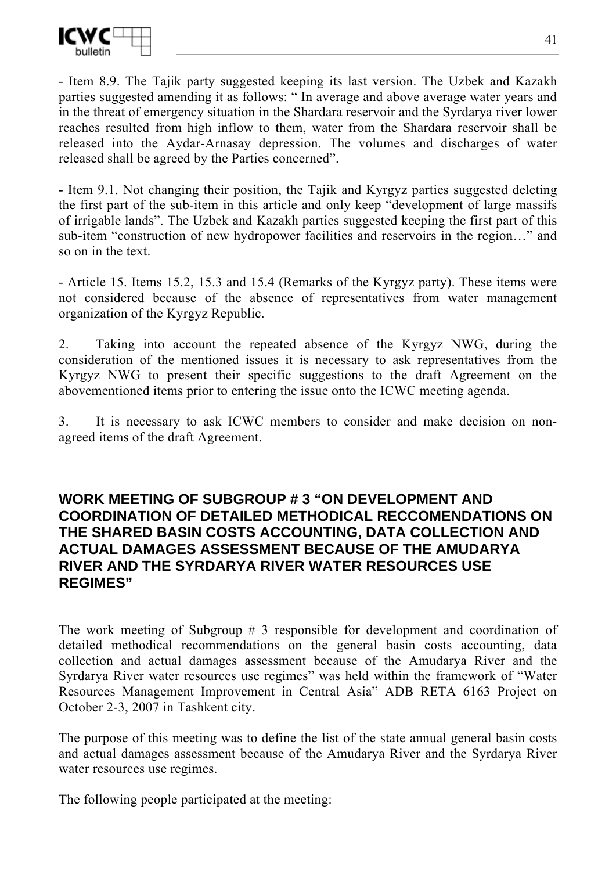

- Item 8.9. The Tajik party suggested keeping its last version. The Uzbek and Kazakh parties suggested amending it as follows: " In average and above average water years and in the threat of emergency situation in the Shardara reservoir and the Syrdarya river lower reaches resulted from high inflow to them, water from the Shardara reservoir shall be released into the Aydar-Arnasay depression. The volumes and discharges of water released shall be agreed by the Parties concerned".

- Item 9.1. Not changing their position, the Tajik and Kyrgyz parties suggested deleting the first part of the sub-item in this article and only keep "development of large massifs of irrigable lands". The Uzbek and Kazakh parties suggested keeping the first part of this sub-item "construction of new hydropower facilities and reservoirs in the region…" and so on in the text.

- Article 15. Items 15.2, 15.3 and 15.4 (Remarks of the Kyrgyz party). These items were not considered because of the absence of representatives from water management organization of the Kyrgyz Republic.

2. Taking into account the repeated absence of the Kyrgyz NWG, during the consideration of the mentioned issues it is necessary to ask representatives from the Kyrgyz NWG to present their specific suggestions to the draft Agreement on the abovementioned items prior to entering the issue onto the ICWC meeting agenda.

3. It is necessary to ask ICWC members to consider and make decision on nonagreed items of the draft Agreement.

## **WORK MEETING OF SUBGROUP # 3 "ON DEVELOPMENT AND COORDINATION OF DETAILED METHODICAL RECCOMENDATIONS ON THE SHARED BASIN COSTS ACCOUNTING, DATA COLLECTION AND ACTUAL DAMAGES ASSESSMENT BECAUSE OF THE AMUDARYA RIVER AND THE SYRDARYA RIVER WATER RESOURCES USE REGIMES"**

The work meeting of Subgroup # 3 responsible for development and coordination of detailed methodical recommendations on the general basin costs accounting, data collection and actual damages assessment because of the Amudarya River and the Syrdarya River water resources use regimes" was held within the framework of "Water Resources Management Improvement in Central Asia" ADB RETA 6163 Project on October 2-3, 2007 in Tashkent city.

The purpose of this meeting was to define the list of the state annual general basin costs and actual damages assessment because of the Amudarya River and the Syrdarya River water resources use regimes.

The following people participated at the meeting: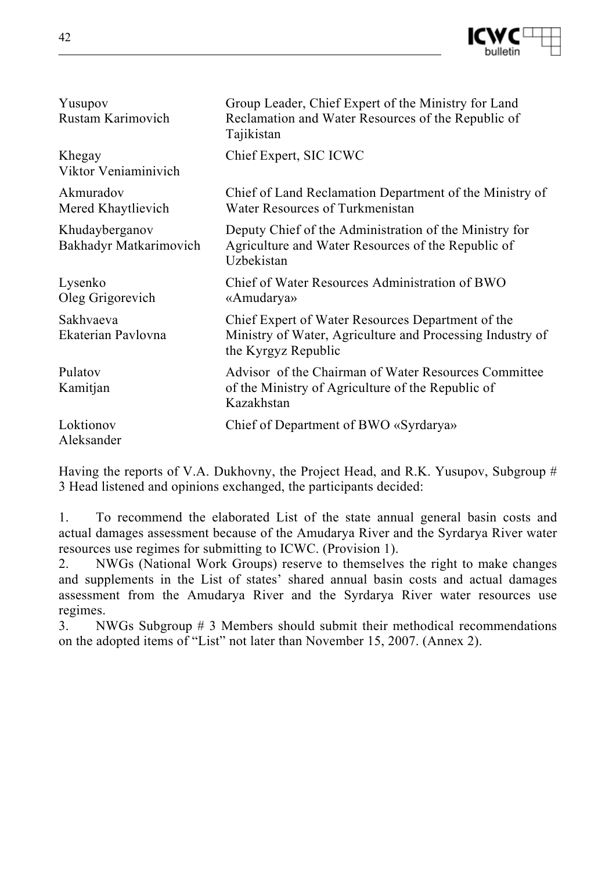

| Yusupov<br>Rustam Karimovich             | Group Leader, Chief Expert of the Ministry for Land<br>Reclamation and Water Resources of the Republic of<br>Tajikistan               |
|------------------------------------------|---------------------------------------------------------------------------------------------------------------------------------------|
| Khegay<br>Viktor Veniaminivich           | Chief Expert, SIC ICWC                                                                                                                |
| Akmuradov<br>Mered Khaytlievich          | Chief of Land Reclamation Department of the Ministry of<br>Water Resources of Turkmenistan                                            |
| Khudayberganov<br>Bakhadyr Matkarimovich | Deputy Chief of the Administration of the Ministry for<br>Agriculture and Water Resources of the Republic of<br>Uzbekistan            |
| Lysenko<br>Oleg Grigorevich              | Chief of Water Resources Administration of BWO<br>«Amudarya»                                                                          |
| Sakhvaeva<br>Ekaterian Pavlovna          | Chief Expert of Water Resources Department of the<br>Ministry of Water, Agriculture and Processing Industry of<br>the Kyrgyz Republic |
| Pulatov<br>Kamitjan                      | Advisor of the Chairman of Water Resources Committee<br>of the Ministry of Agriculture of the Republic of<br>Kazakhstan               |
| Loktionov<br>Aleksander                  | Chief of Department of BWO «Syrdarya»                                                                                                 |

Having the reports of V.A. Dukhovny, the Project Head, and R.K. Yusupov, Subgroup # 3 Head listened and opinions exchanged, the participants decided:

1. To recommend the elaborated List of the state annual general basin costs and actual damages assessment because of the Amudarya River and the Syrdarya River water resources use regimes for submitting to ICWC. (Provision 1).

2. NWGs (National Work Groups) reserve to themselves the right to make changes and supplements in the List of states' shared annual basin costs and actual damages assessment from the Amudarya River and the Syrdarya River water resources use regimes.

3. NWGs Subgroup # 3 Members should submit their methodical recommendations on the adopted items of "List" not later than November 15, 2007. (Annex 2).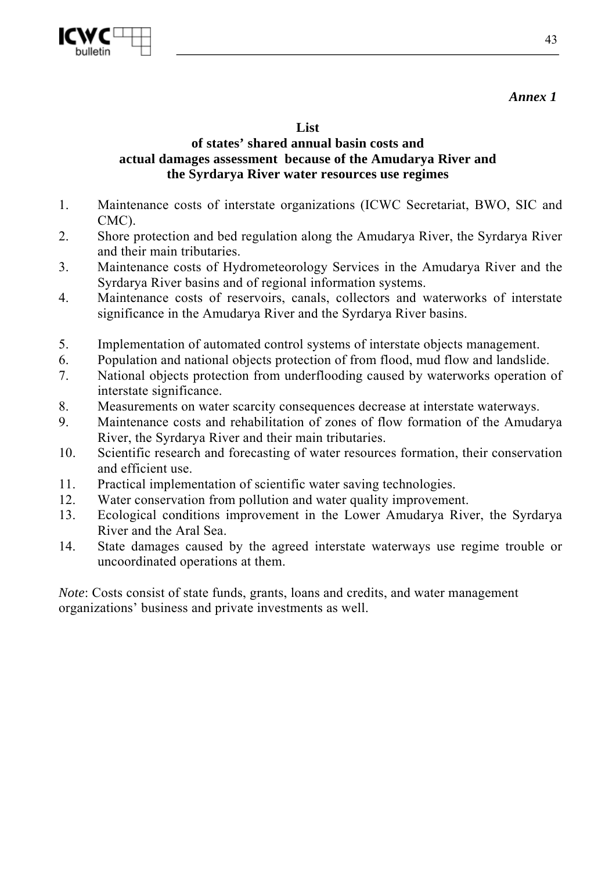

*Annex 1* 

#### **List**

#### **of states' shared annual basin costs and actual damages assessment because of the Amudarya River and the Syrdarya River water resources use regimes**

- 1. Maintenance costs of interstate organizations (ICWC Secretariat, BWO, SIC and CMC).
- 2. Shore protection and bed regulation along the Amudarya River, the Syrdarya River and their main tributaries.
- 3. Maintenance costs of Hydrometeorology Services in the Amudarya River and the Syrdarya River basins and of regional information systems.
- 4. Maintenance costs of reservoirs, canals, collectors and waterworks of interstate significance in the Amudarya River and the Syrdarya River basins.
- 5. Implementation of automated control systems of interstate objects management.
- 6. Population and national objects protection of from flood, mud flow and landslide.
- 7. National objects protection from underflooding caused by waterworks operation of interstate significance.
- 8. Measurements on water scarcity consequences decrease at interstate waterways.
- 9. Maintenance costs and rehabilitation of zones of flow formation of the Amudarya River, the Syrdarya River and their main tributaries.
- 10. Scientific research and forecasting of water resources formation, their conservation and efficient use.
- 11. Practical implementation of scientific water saving technologies.
- 12. Water conservation from pollution and water quality improvement.
- 13. Ecological conditions improvement in the Lower Amudarya River, the Syrdarya River and the Aral Sea.
- 14. State damages caused by the agreed interstate waterways use regime trouble or uncoordinated operations at them.

*Note*: Costs consist of state funds, grants, loans and credits, and water management organizations' business and private investments as well.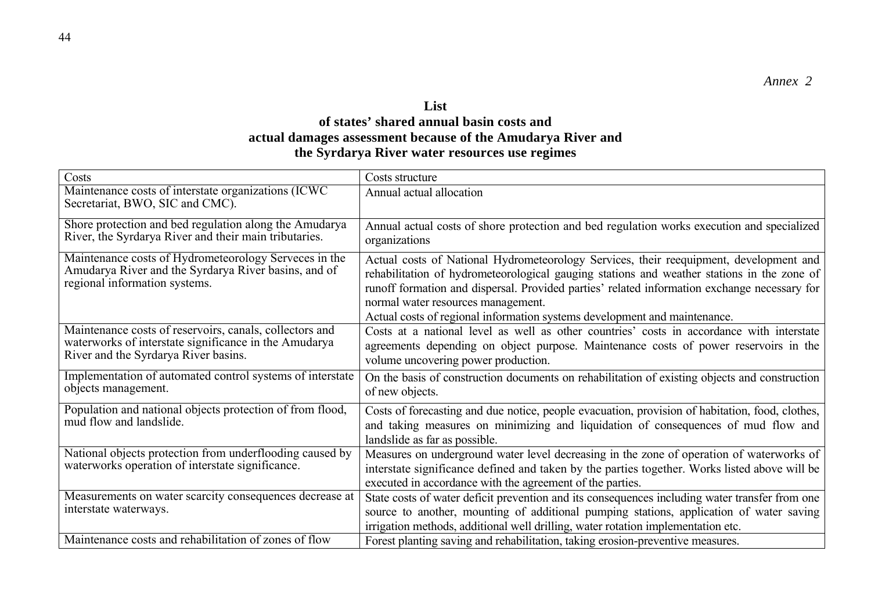#### **List of states' shared annual basin costs and actual damages assessment because of the Amudarya River and the Syrdarya River water resources use regimes**

| Costs                                                                                                                                                    | Costs structure                                                                                                                                                                                                                                                                                                                                                                                         |
|----------------------------------------------------------------------------------------------------------------------------------------------------------|---------------------------------------------------------------------------------------------------------------------------------------------------------------------------------------------------------------------------------------------------------------------------------------------------------------------------------------------------------------------------------------------------------|
| Maintenance costs of interstate organizations (ICWC)<br>Secretariat, BWO, SIC and CMC).                                                                  | Annual actual allocation                                                                                                                                                                                                                                                                                                                                                                                |
| Shore protection and bed regulation along the Amudarya<br>River, the Syrdarya River and their main tributaries.                                          | Annual actual costs of shore protection and bed regulation works execution and specialized<br>organizations                                                                                                                                                                                                                                                                                             |
| Maintenance costs of Hydrometeorology Serveces in the<br>Amudarya River and the Syrdarya River basins, and of<br>regional information systems.           | Actual costs of National Hydrometeorology Services, their reequipment, development and<br>rehabilitation of hydrometeorological gauging stations and weather stations in the zone of<br>runoff formation and dispersal. Provided parties' related information exchange necessary for<br>normal water resources management.<br>Actual costs of regional information systems development and maintenance. |
| Maintenance costs of reservoirs, canals, collectors and<br>waterworks of interstate significance in the Amudarya<br>River and the Syrdarya River basins. | Costs at a national level as well as other countries' costs in accordance with interstate<br>agreements depending on object purpose. Maintenance costs of power reservoirs in the<br>volume uncovering power production.                                                                                                                                                                                |
| Implementation of automated control systems of interstate<br>objects management.                                                                         | On the basis of construction documents on rehabilitation of existing objects and construction<br>of new objects.                                                                                                                                                                                                                                                                                        |
| Population and national objects protection of from flood,<br>mud flow and landslide.                                                                     | Costs of forecasting and due notice, people evacuation, provision of habitation, food, clothes,<br>and taking measures on minimizing and liquidation of consequences of mud flow and<br>landslide as far as possible.                                                                                                                                                                                   |
| National objects protection from underflooding caused by<br>waterworks operation of interstate significance.                                             | Measures on underground water level decreasing in the zone of operation of waterworks of<br>interstate significance defined and taken by the parties together. Works listed above will be<br>executed in accordance with the agreement of the parties.                                                                                                                                                  |
| Measurements on water scarcity consequences decrease at<br>interstate waterways.                                                                         | State costs of water deficit prevention and its consequences including water transfer from one<br>source to another, mounting of additional pumping stations, application of water saving<br>irrigation methods, additional well drilling, water rotation implementation etc.                                                                                                                           |
| Maintenance costs and rehabilitation of zones of flow                                                                                                    | Forest planting saving and rehabilitation, taking erosion-preventive measures.                                                                                                                                                                                                                                                                                                                          |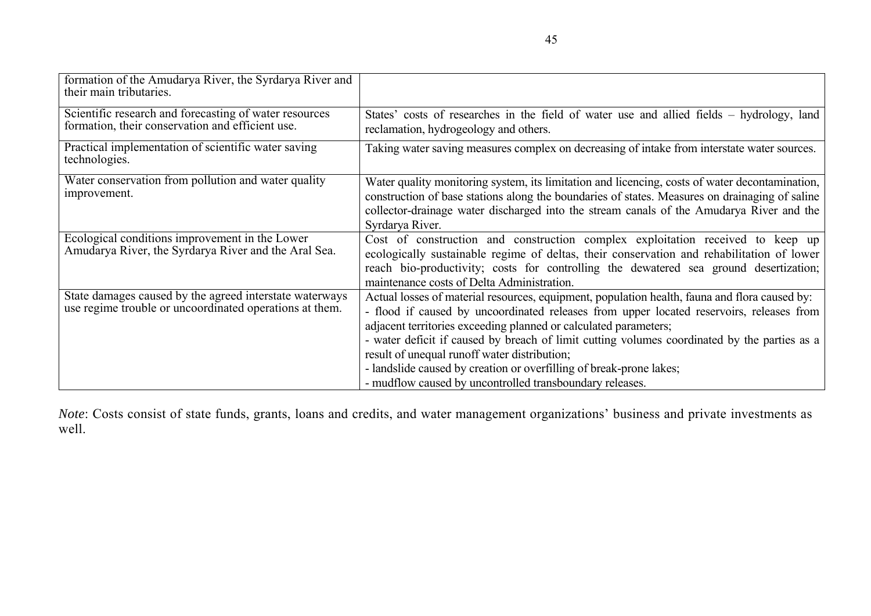| formation of the Amudarya River, the Syrdarya River and<br>their main tributaries.                                 |                                                                                                                                                                                                                                                                                                                                                                                                                                                                                                                                                  |
|--------------------------------------------------------------------------------------------------------------------|--------------------------------------------------------------------------------------------------------------------------------------------------------------------------------------------------------------------------------------------------------------------------------------------------------------------------------------------------------------------------------------------------------------------------------------------------------------------------------------------------------------------------------------------------|
| Scientific research and forecasting of water resources<br>formation, their conservation and efficient use.         | States' costs of researches in the field of water use and allied fields – hydrology, land<br>reclamation, hydrogeology and others.                                                                                                                                                                                                                                                                                                                                                                                                               |
| Practical implementation of scientific water saving<br>technologies.                                               | Taking water saving measures complex on decreasing of intake from interstate water sources.                                                                                                                                                                                                                                                                                                                                                                                                                                                      |
| Water conservation from pollution and water quality<br>improvement.                                                | Water quality monitoring system, its limitation and licencing, costs of water decontamination,<br>construction of base stations along the boundaries of states. Measures on drainaging of saline<br>collector-drainage water discharged into the stream canals of the Amudarya River and the<br>Syrdarya River.                                                                                                                                                                                                                                  |
| Ecological conditions improvement in the Lower<br>Amudarya River, the Syrdarya River and the Aral Sea.             | Cost of construction and construction complex exploitation received to keep up<br>ecologically sustainable regime of deltas, their conservation and rehabilitation of lower<br>reach bio-productivity; costs for controlling the dewatered sea ground desertization;<br>maintenance costs of Delta Administration.                                                                                                                                                                                                                               |
| State damages caused by the agreed interstate waterways<br>use regime trouble or uncoordinated operations at them. | Actual losses of material resources, equipment, population health, fauna and flora caused by:<br>- flood if caused by uncoordinated releases from upper located reservoirs, releases from<br>adjacent territories exceeding planned or calculated parameters;<br>- water deficit if caused by breach of limit cutting volumes coordinated by the parties as a<br>result of unequal runoff water distribution;<br>- landslide caused by creation or overfilling of break-prone lakes;<br>- mudflow caused by uncontrolled transboundary releases. |

*Note*: Costs consist of state funds, grants, loans and credits, and water management organizations' business and private investments as well.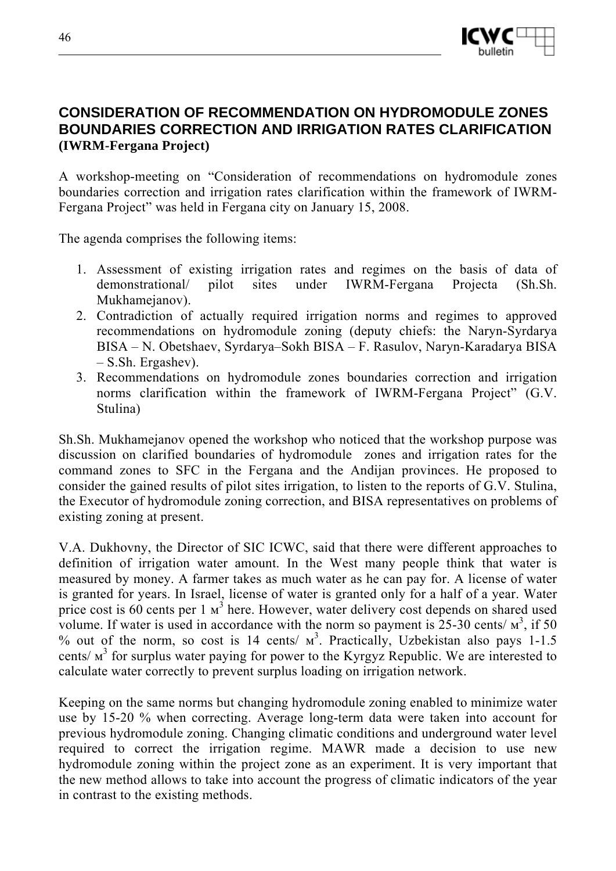

## **CONSIDERATION OF RECOMMENDATION ON HYDROMODULE ZONES BOUNDARIES CORRECTION AND IRRIGATION RATES CLARIFICATION (IWRM-Fergana Project)**

A workshop-meeting on "Consideration of recommendations on hydromodule zones boundaries correction and irrigation rates clarification within the framework of IWRM-Fergana Project" was held in Fergana city on January 15, 2008.

The agenda comprises the following items:

- 1. Assessment of existing irrigation rates and regimes on the basis of data of demonstrational/ pilot sites under IWRM-Fergana Projectа (Sh.Sh. Mukhamejanov).
- 2. Contradiction of actually required irrigation norms and regimes to approved recommendations on hydromodule zoning (deputy chiefs: the Naryn-Syrdarya BISA – N. Obetshaev, Syrdarya–Sokh BISA – F. Rasulov, Naryn-Karadarya BISA – S.Sh. Ergashev).
- 3. Recommendations on hydromodule zones boundaries correction and irrigation norms clarification within the framework of IWRM-Fergana Project" (G.V. Stulina)

Sh.Sh. Mukhamejanov opened the workshop who noticed that the workshop purpose was discussion on clarified boundaries of hydromodule zones and irrigation rates for the command zones to SFC in the Fergana and the Andijan provinces. He proposed to consider the gained results of pilot sites irrigation, to listen to the reports of G.V. Stulina, the Executor of hydromodule zoning correction, and BISA representatives on problems of existing zoning at present.

V.A. Dukhovny, the Director of SIC ICWC, said that there were different approaches to definition of irrigation water amount. In the West many people think that water is measured by money. A farmer takes as much water as he can pay for. A license of water is granted for years. In Israel, license of water is granted only for a half of a year. Water price cost is  $60$  cents per 1  $M<sup>3</sup>$  here. However, water delivery cost depends on shared used volume. If water is used in accordance with the norm so payment is  $25{\text -}30$  cents/  $\text{m}^3$ , if 50 % out of the norm, so cost is 14 cents/ $w^3$ . Practically, Uzbekistan also pays 1-1.5 cents/ $M<sup>3</sup>$  for surplus water paying for power to the Kyrgyz Republic. We are interested to calculate water correctly to prevent surplus loading on irrigation network.

Keeping on the same norms but changing hydromodule zoning enabled to minimize water use by 15-20 % when correcting. Average long-term data were taken into account for previous hydromodule zoning. Changing climatic conditions and underground water level required to correct the irrigation regime. MAWR made a decision to use new hydromodule zoning within the project zone as an experiment. It is very important that the new method allows to take into account the progress of climatic indicators of the year in contrast to the existing methods.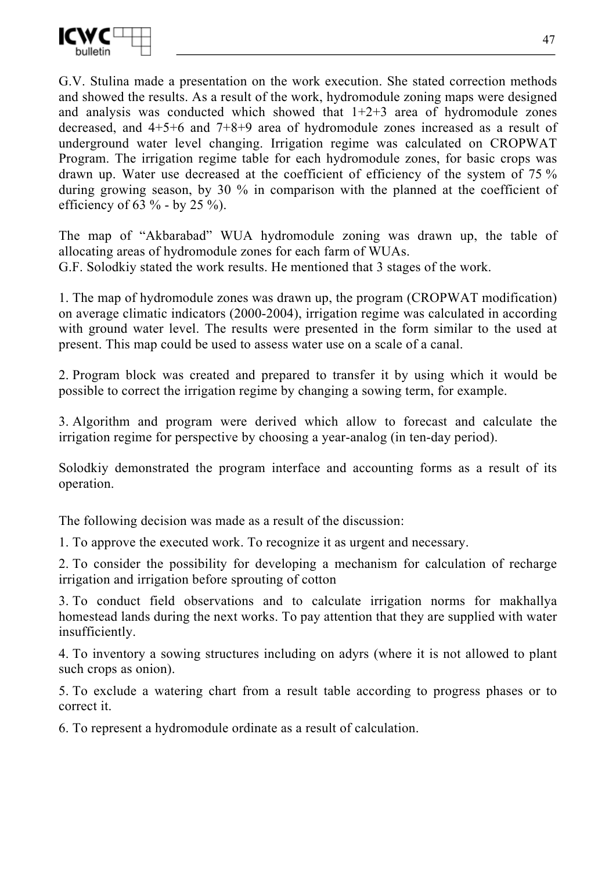

G.V. Stulina made a presentation on the work execution. She stated correction methods and showed the results. As a result of the work, hydromodule zoning maps were designed and analysis was conducted which showed that  $1+2+3$  area of hydromodule zones decreased, and 4+5+6 and 7+8+9 area of hydromodule zones increased as a result of underground water level changing. Irrigation regime was calculated on CROPWAT Program. The irrigation regime table for each hydromodule zones, for basic crops was drawn up. Water use decreased at the coefficient of efficiency of the system of 75 % during growing season, by 30 % in comparison with the planned at the coefficient of efficiency of 63  $\%$  - by 25  $\%$ ).

The map of "Akbarabad" WUA hydromodule zoning was drawn up, the table of allocating areas of hydromodule zones for each farm of WUAs.

G.F. Solodkiy stated the work results. He mentioned that 3 stages of the work.

1. The map of hydromodule zones was drawn up, the program (CROPWAT modification) on average climatic indicators (2000-2004), irrigation regime was calculated in according with ground water level. The results were presented in the form similar to the used at present. This map could be used to assess water use on a scale of a canal.

2. Program block was created and prepared to transfer it by using which it would be possible to correct the irrigation regime by changing a sowing term, for example.

3. Algorithm and program were derived which allow to forecast and calculate the irrigation regime for perspective by choosing a year-analog (in ten-day period).

Solodkiy demonstrated the program interface and accounting forms as a result of its operation.

The following decision was made as a result of the discussion:

1. To approve the executed work. To recognize it as urgent and necessary.

2. To consider the possibility for developing a mechanism for calculation of recharge irrigation and irrigation before sprouting of cotton

3. To conduct field observations and to calculate irrigation norms for makhallya homestead lands during the next works. To pay attention that they are supplied with water insufficiently.

4. To inventory a sowing structures including on adyrs (where it is not allowed to plant such crops as onion).

5. To exclude a watering chart from a result table according to progress phases or to correct it.

6. To represent a hydromodule ordinate as a result of calculation.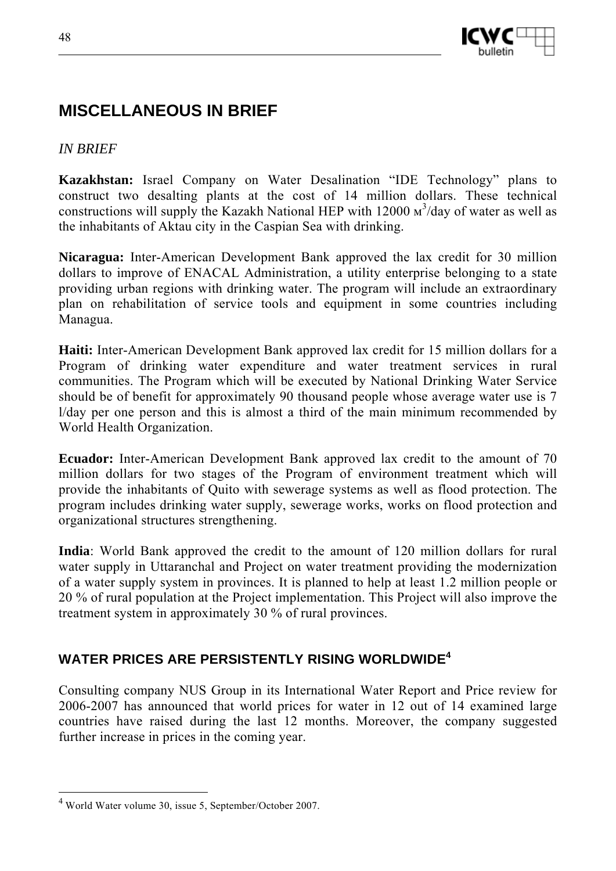



# **MISCELLANEOUS IN BRIEF**

## *IN BRIEF*

**Kazakhstan:** Israel Company on Water Desalination "IDE Technology" plans to construct two desalting plants at the cost of 14 million dollars. These technical constructions will supply the Kazakh National HEP with 12000  $\text{m}^3$ /day of water as well as the inhabitants of Aktau city in the Caspian Sea with drinking.

**Nicaragua:** Inter-American Development Bank approved the lax credit for 30 million dollars to improve of ENACAL Administration, a utility enterprise belonging to a state providing urban regions with drinking water. The program will include an extraordinary plan on rehabilitation of service tools and equipment in some countries including Managua.

**Haiti:** Inter-American Development Bank approved lax credit for 15 million dollars for a Program of drinking water expenditure and water treatment services in rural communities. The Program which will be executed by National Drinking Water Service should be of benefit for approximately 90 thousand people whose average water use is 7 l/day per one person and this is almost a third of the main minimum recommended by World Health Organization.

**Ecuador:** Inter-American Development Bank approved lax credit to the amount of 70 million dollars for two stages of the Program of environment treatment which will provide the inhabitants of Quito with sewerage systems as well as flood protection. The program includes drinking water supply, sewerage works, works on flood protection and organizational structures strengthening.

**India**: World Bank approved the credit to the amount of 120 million dollars for rural water supply in Uttaranchal and Project on water treatment providing the modernization of a water supply system in provinces. It is planned to help at least 1.2 million people or 20 % of rural population at the Project implementation. This Project will also improve the treatment system in approximately 30 % of rural provinces.

## **WATER PRICES ARE PERSISTENTLY RISING WORLDWIDE<sup>4</sup>**

Consulting company NUS Group in its International Water Report and Price review for 2006-2007 has announced that world prices for water in 12 out of 14 examined large countries have raised during the last 12 months. Moreover, the company suggested further increase in prices in the coming year.

 $\overline{a}$ 

<sup>4</sup> World Water volume 30, issue 5, September/October 2007.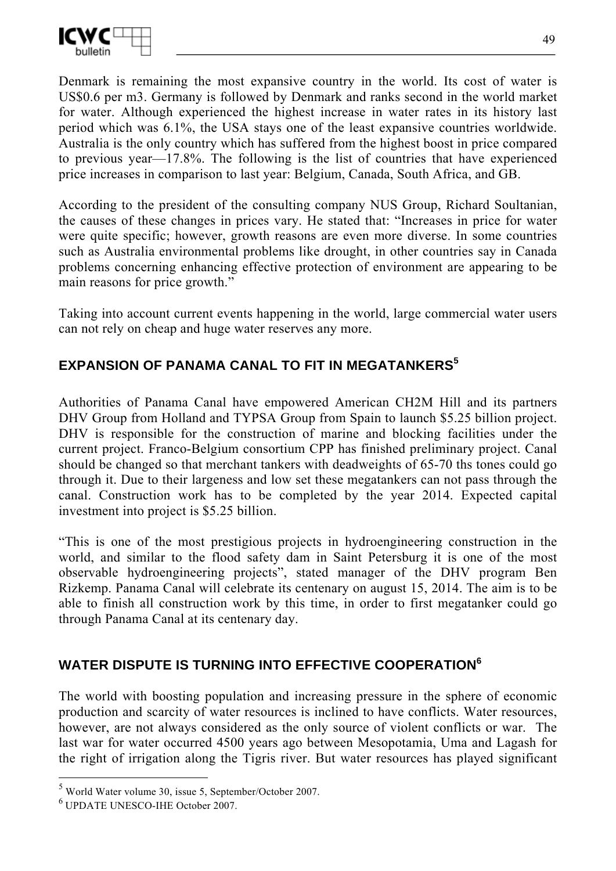

Denmark is remaining the most expansive country in the world. Its cost of water is US\$0.6 per m3. Germany is followed by Denmark and ranks second in the world market for water. Although experienced the highest increase in water rates in its history last period which was 6.1%, the USA stays one of the least expansive countries worldwide. Australia is the only country which has suffered from the highest boost in price compared to previous year—17.8%. The following is the list of countries that have experienced price increases in comparison to last year: Belgium, Canada, South Africa, and GB.

According to the president of the consulting company NUS Group, Richard Soultanian, the causes of these changes in prices vary. He stated that: "Increases in price for water were quite specific; however, growth reasons are even more diverse. In some countries such as Australia environmental problems like drought, in other countries say in Canada problems concerning enhancing effective protection of environment are appearing to be main reasons for price growth."

Taking into account current events happening in the world, large commercial water users can not rely on cheap and huge water reserves any more.

## **EXPANSION OF PANAMA CANAL TO FIT IN MEGATANKERS<sup>5</sup>**

Authorities of Panama Canal have empowered American CH2M Hill and its partners DHV Group from Holland and TYPSA Group from Spain to launch \$5.25 billion project. DHV is responsible for the construction of marine and blocking facilities under the current project. Franco-Belgium consortium CPP has finished preliminary project. Canal should be changed so that merchant tankers with deadweights of 65-70 ths tones could go through it. Due to their largeness and low set these megatankers can not pass through the canal. Construction work has to be completed by the year 2014. Expected capital investment into project is \$5.25 billion.

"This is one of the most prestigious projects in hydroengineering construction in the world, and similar to the flood safety dam in Saint Petersburg it is one of the most observable hydroengineering projects", stated manager of the DHV program Ben Rizkemp. Panama Canal will celebrate its centenary on august 15, 2014. The aim is to be able to finish all construction work by this time, in order to first megatanker could go through Panama Canal at its centenary day.

## **WATER DISPUTE IS TURNING INTO EFFECTIVE COOPERATION<sup>6</sup>**

The world with boosting population and increasing pressure in the sphere of economic production and scarcity of water resources is inclined to have conflicts. Water resources, however, are not always considered as the only source of violent conflicts or war. The last war for water occurred 4500 years ago between Mesopotamia, Uma and Lagash for the right of irrigation along the Tigris river. But water resources has played significant

 5 World Water volume 30, issue 5, September/October 2007.

<sup>6</sup> UPDATE UNESCO-IHE October 2007.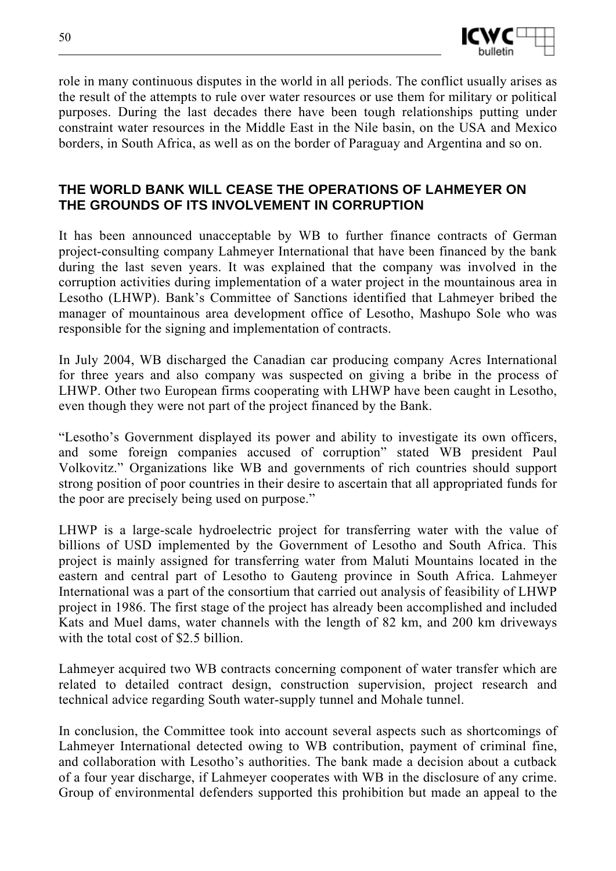

role in many continuous disputes in the world in all periods. The conflict usually arises as the result of the attempts to rule over water resources or use them for military or political purposes. During the last decades there have been tough relationships putting under constraint water resources in the Middle East in the Nile basin, on the USA and Mexico borders, in South Africa, as well as on the border of Paraguay and Argentina and so on.

#### **THE WORLD BANK WILL CEASE THE OPERATIONS OF LAHMEYER ON THE GROUNDS OF ITS INVOLVEMENT IN CORRUPTION**

It has been announced unacceptable by WB to further finance contracts of German project-consulting company Lahmeyer International that have been financed by the bank during the last seven years. It was explained that the company was involved in the corruption activities during implementation of a water project in the mountainous area in Lesotho (LHWP). Bank's Committee of Sanctions identified that Lahmeyer bribed the manager of mountainous area development office of Lesotho, Mashupo Sole who was responsible for the signing and implementation of contracts.

In July 2004, WB discharged the Canadian car producing company Acres International for three years and also company was suspected on giving a bribe in the process of LHWP. Other two European firms cooperating with LHWP have been caught in Lesotho, even though they were not part of the project financed by the Bank.

"Lesotho's Government displayed its power and ability to investigate its own officers, and some foreign companies accused of corruption" stated WB president Paul Volkovitz." Organizations like WB and governments of rich countries should support strong position of poor countries in their desire to ascertain that all appropriated funds for the poor are precisely being used on purpose."

LHWP is a large-scale hydroelectric project for transferring water with the value of billions of USD implemented by the Government of Lesotho and South Africa. This project is mainly assigned for transferring water from Maluti Mountains located in the eastern and central part of Lesotho to Gauteng province in South Africa. Lahmeyer International was a part of the consortium that carried out analysis of feasibility of LHWP project in 1986. The first stage of the project has already been accomplished and included Kats and Muel dams, water channels with the length of 82 km, and 200 km driveways with the total cost of \$2.5 billion.

Lahmeyer acquired two WB contracts concerning component of water transfer which are related to detailed contract design, construction supervision, project research and technical advice regarding South water-supply tunnel and Mohale tunnel.

In conclusion, the Committee took into account several aspects such as shortcomings of Lahmeyer International detected owing to WB contribution, payment of criminal fine, and collaboration with Lesotho's authorities. The bank made a decision about a cutback of a four year discharge, if Lahmeyer cooperates with WB in the disclosure of any crime. Group of environmental defenders supported this prohibition but made an appeal to the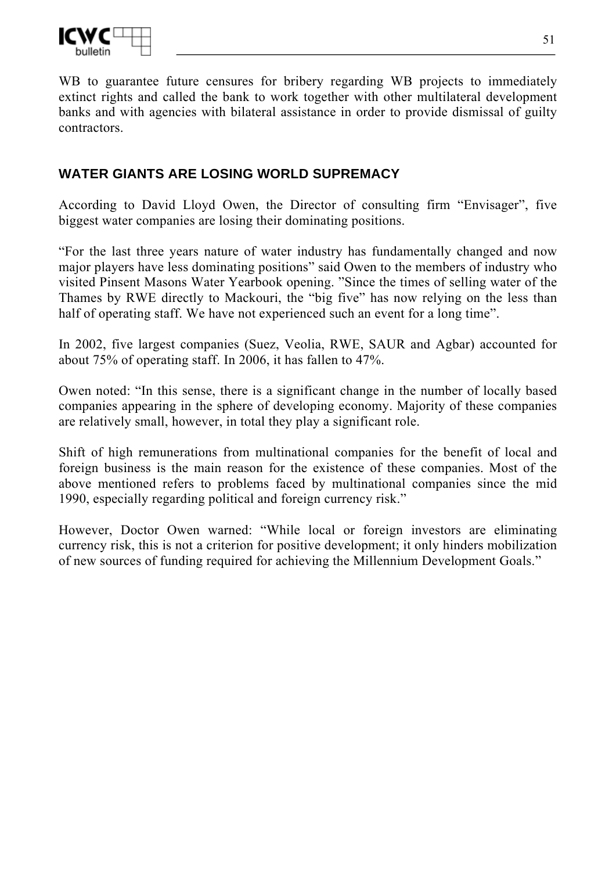

WB to guarantee future censures for bribery regarding WB projects to immediately extinct rights and called the bank to work together with other multilateral development banks and with agencies with bilateral assistance in order to provide dismissal of guilty contractors.

## **WATER GIANTS ARE LOSING WORLD SUPREMACY**

According to David Lloyd Owen, the Director of consulting firm "Envisager", five biggest water companies are losing their dominating positions.

"For the last three years nature of water industry has fundamentally changed and now major players have less dominating positions" said Owen to the members of industry who visited Pinsent Masons Water Yearbook opening. "Since the times of selling water of the Thames by RWE directly to Mackouri, the "big five" has now relying on the less than half of operating staff. We have not experienced such an event for a long time".

In 2002, five largest companies (Suez, Veolia, RWE, SAUR and Agbar) accounted for about 75% of operating staff. In 2006, it has fallen to 47%.

Owen noted: "In this sense, there is a significant change in the number of locally based companies appearing in the sphere of developing economy. Majority of these companies are relatively small, however, in total they play a significant role.

Shift of high remunerations from multinational companies for the benefit of local and foreign business is the main reason for the existence of these companies. Most of the above mentioned refers to problems faced by multinational companies since the mid 1990, especially regarding political and foreign currency risk."

However, Doctor Owen warned: "While local or foreign investors are eliminating currency risk, this is not a criterion for positive development; it only hinders mobilization of new sources of funding required for achieving the Millennium Development Goals."